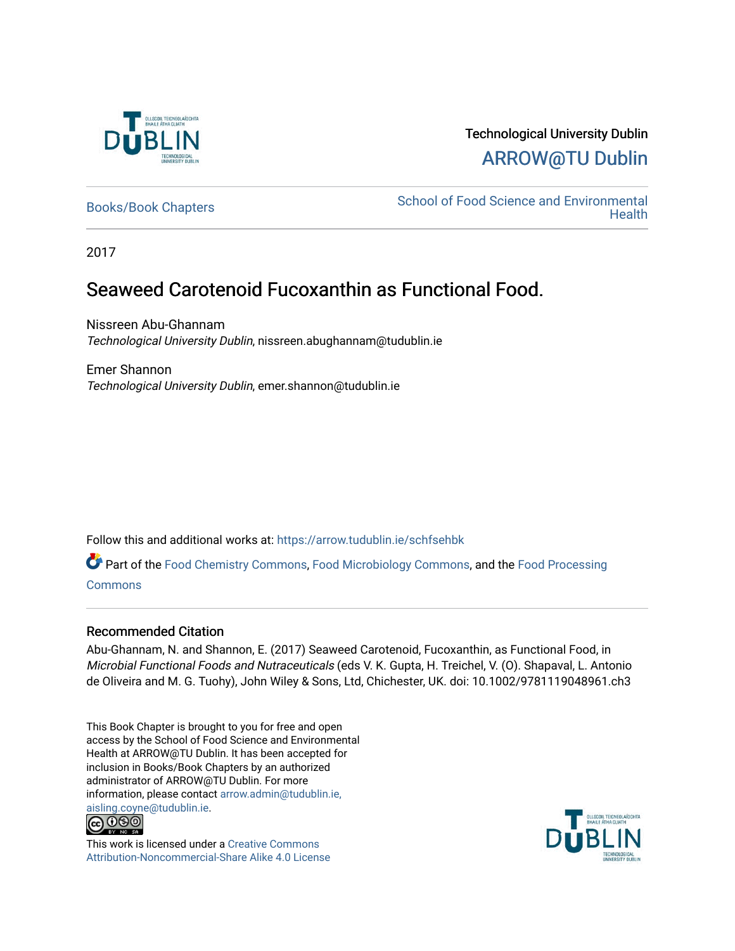

## Technological University Dublin [ARROW@TU Dublin](https://arrow.tudublin.ie/)

[Books/Book Chapters](https://arrow.tudublin.ie/schfsehbk) School of Food Science and Environmental **Health** 

2017

## Seaweed Carotenoid Fucoxanthin as Functional Food.

Nissreen Abu-Ghannam Technological University Dublin, nissreen.abughannam@tudublin.ie

Emer Shannon Technological University Dublin, emer.shannon@tudublin.ie

Follow this and additional works at: [https://arrow.tudublin.ie/schfsehbk](https://arrow.tudublin.ie/schfsehbk?utm_source=arrow.tudublin.ie%2Fschfsehbk%2F5&utm_medium=PDF&utm_campaign=PDFCoverPages) 

Part of the [Food Chemistry Commons,](http://network.bepress.com/hgg/discipline/87?utm_source=arrow.tudublin.ie%2Fschfsehbk%2F5&utm_medium=PDF&utm_campaign=PDFCoverPages) [Food Microbiology Commons](http://network.bepress.com/hgg/discipline/86?utm_source=arrow.tudublin.ie%2Fschfsehbk%2F5&utm_medium=PDF&utm_campaign=PDFCoverPages), and the [Food Processing](http://network.bepress.com/hgg/discipline/85?utm_source=arrow.tudublin.ie%2Fschfsehbk%2F5&utm_medium=PDF&utm_campaign=PDFCoverPages) **[Commons](http://network.bepress.com/hgg/discipline/85?utm_source=arrow.tudublin.ie%2Fschfsehbk%2F5&utm_medium=PDF&utm_campaign=PDFCoverPages)** 

#### Recommended Citation

Abu-Ghannam, N. and Shannon, E. (2017) Seaweed Carotenoid, Fucoxanthin, as Functional Food, in Microbial Functional Foods and Nutraceuticals (eds V. K. Gupta, H. Treichel, V. (O). Shapaval, L. Antonio de Oliveira and M. G. Tuohy), John Wiley & Sons, Ltd, Chichester, UK. doi: 10.1002/9781119048961.ch3

This Book Chapter is brought to you for free and open access by the School of Food Science and Environmental Health at ARROW@TU Dublin. It has been accepted for inclusion in Books/Book Chapters by an authorized administrator of ARROW@TU Dublin. For more information, please contact [arrow.admin@tudublin.ie,](mailto:arrow.admin@tudublin.ie,%20aisling.coyne@tudublin.ie)  [aisling.coyne@tudublin.ie.](mailto:arrow.admin@tudublin.ie,%20aisling.coyne@tudublin.ie)<br>@060



This work is licensed under a [Creative Commons](http://creativecommons.org/licenses/by-nc-sa/4.0/) [Attribution-Noncommercial-Share Alike 4.0 License](http://creativecommons.org/licenses/by-nc-sa/4.0/)

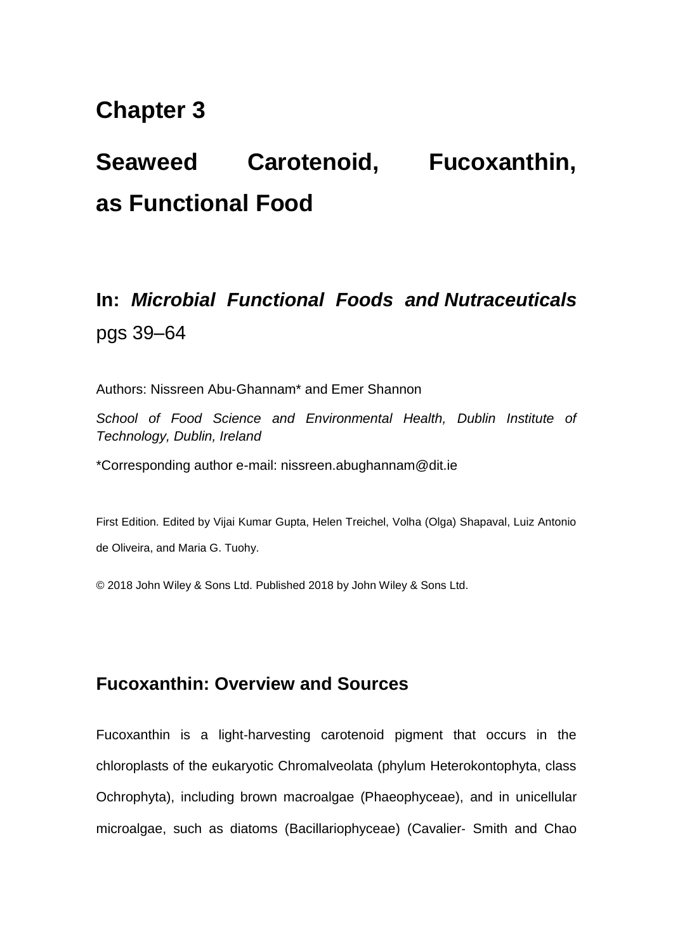## **Chapter 3**

# **Seaweed Carotenoid, Fucoxanthin, as Functional Food**

## **In:** *Microbial Functional Foods and Nutraceuticals*  pgs 39–64

Authors: Nissreen Abu‐Ghannam\* and Emer Shannon

*School of Food Science and Environmental Health, Dublin Institute of Technology, Dublin, Ireland* 

\*Corresponding author e-mail: nissreen.abughannam@dit.ie

First Edition. Edited by Vijai Kumar Gupta, Helen Treichel, Volha (Olga) Shapaval, Luiz Antonio de Oliveira, and Maria G. Tuohy.

© 2018 John Wiley & Sons Ltd. Published 2018 by John Wiley & Sons Ltd.

## **Fucoxanthin: Overview and Sources**

Fucoxanthin is a light-harvesting carotenoid pigment that occurs in the chloroplasts of the eukaryotic Chromalveolata (phylum Heterokontophyta, class Ochrophyta), including brown macroalgae (Phaeophyceae), and in unicellular microalgae, such as diatoms (Bacillariophyceae) (Cavalier‐ Smith and Chao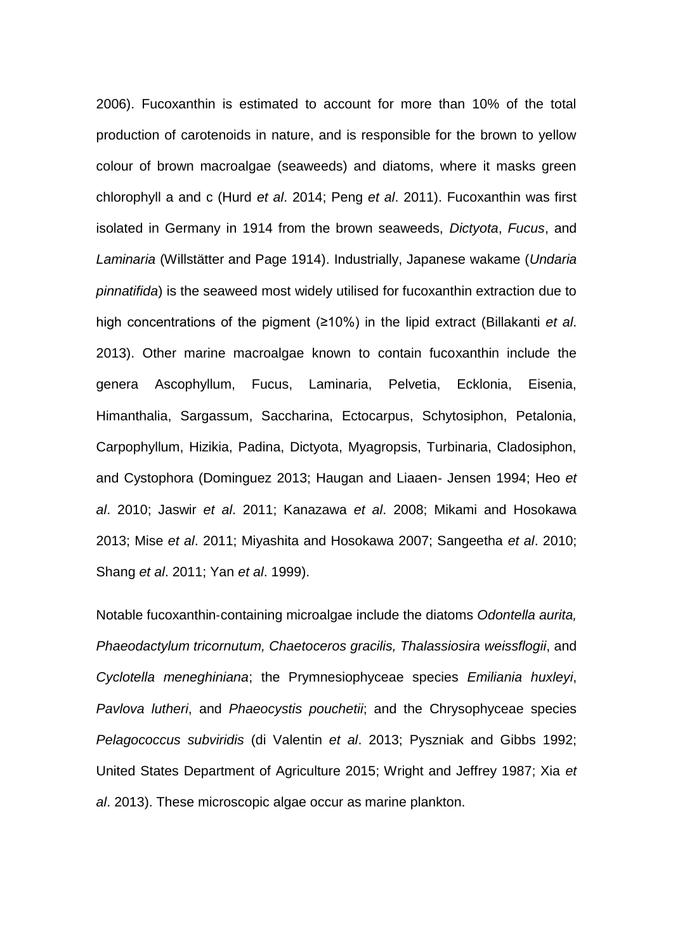2006). Fucoxanthin is estimated to account for more than 10% of the total production of carotenoids in nature, and is responsible for the brown to yellow colour of brown macroalgae (seaweeds) and diatoms, where it masks green chlorophyll a and c (Hurd *et al*. 2014; Peng *et al*. 2011). Fucoxanthin was first isolated in Germany in 1914 from the brown seaweeds, *Dictyota*, *Fucus*, and *Laminaria* (Willstätter and Page 1914). Industrially, Japanese wakame (*Undaria pinnatifida*) is the seaweed most widely utilised for fucoxanthin extraction due to high concentrations of the pigment (≥10%) in the lipid extract (Billakanti *et al*. 2013). Other marine macroalgae known to contain fucoxanthin include the genera Ascophyllum, Fucus, Laminaria, Pelvetia, Ecklonia, Eisenia, Himanthalia, Sargassum, Saccharina, Ectocarpus, Schytosiphon, Petalonia, Carpophyllum, Hizikia, Padina, Dictyota, Myagropsis, Turbinaria, Cladosiphon, and Cystophora (Dominguez 2013; Haugan and Liaaen‐ Jensen 1994; Heo *et al*. 2010; Jaswir *et al*. 2011; Kanazawa *et al*. 2008; Mikami and Hosokawa 2013; Mise *et al*. 2011; Miyashita and Hosokawa 2007; Sangeetha *et al*. 2010; Shang *et al*. 2011; Yan *et al*. 1999).

Notable fucoxanthin‐containing microalgae include the diatoms *Odontella aurita, Phaeodactylum tricornutum, Chaetoceros gracilis, Thalassiosira weissflogii*, and *Cyclotella meneghiniana*; the Prymnesiophyceae species *Emiliania huxleyi*, *Pavlova lutheri*, and *Phaeocystis pouchetii*; and the Chrysophyceae species *Pelagococcus subviridis* (di Valentin *et al*. 2013; Pyszniak and Gibbs 1992; United States Department of Agriculture 2015; Wright and Jeffrey 1987; Xia *et al*. 2013). These microscopic algae occur as marine plankton.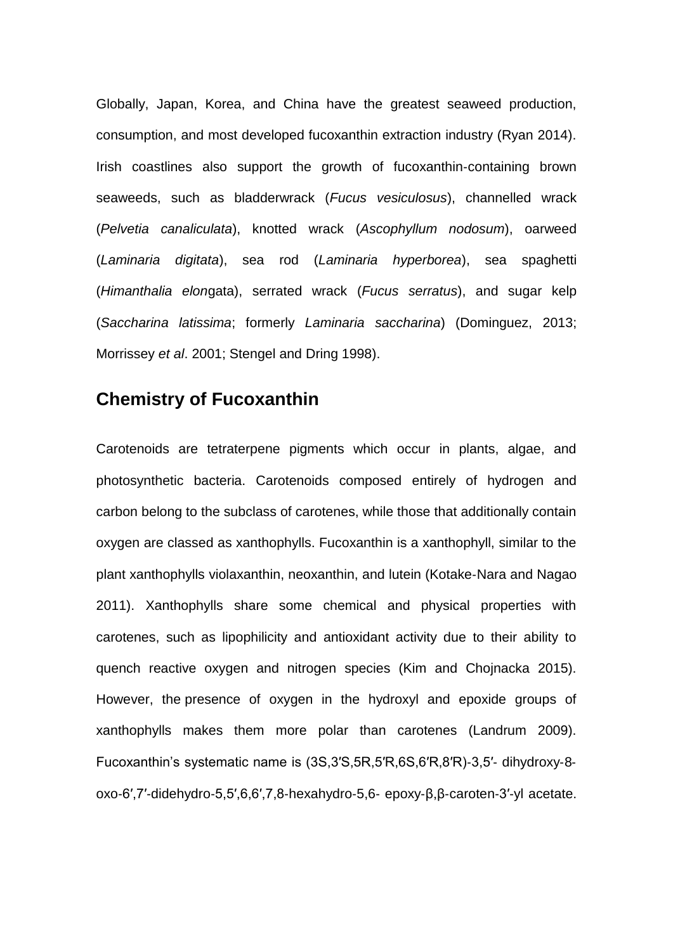Globally, Japan, Korea, and China have the greatest seaweed production, consumption, and most developed fucoxanthin extraction industry (Ryan 2014). Irish coastlines also support the growth of fucoxanthin‐containing brown seaweeds, such as bladderwrack (*Fucus vesiculosus*), channelled wrack (*Pelvetia canaliculata*), knotted wrack (*Ascophyllum nodosum*), oarweed (*Laminaria digitata*), sea rod (*Laminaria hyperborea*), sea spaghetti (*Himanthalia elon*gata), serrated wrack (*Fucus serratus*), and sugar kelp (*Saccharina latissima*; formerly *Laminaria saccharina*) (Dominguez, 2013; Morrissey *et al*. 2001; Stengel and Dring 1998).

## **Chemistry of Fucoxanthin**

Carotenoids are tetraterpene pigments which occur in plants, algae, and photosynthetic bacteria. Carotenoids composed entirely of hydrogen and carbon belong to the subclass of carotenes, while those that additionally contain oxygen are classed as xanthophylls. Fucoxanthin is a xanthophyll, similar to the plant xanthophylls violaxanthin, neoxanthin, and lutein (Kotake‐Nara and Nagao 2011). Xanthophylls share some chemical and physical properties with carotenes, such as lipophilicity and antioxidant activity due to their ability to quench reactive oxygen and nitrogen species (Kim and Chojnacka 2015). However, the presence of oxygen in the hydroxyl and epoxide groups of xanthophylls makes them more polar than carotenes (Landrum 2009). Fucoxanthin's systematic name is (3S,3′S,5R,5′R,6S,6′R,8′R)‐3,5′‐ dihydroxy‐8‐ oxo‐6′,7′‐didehydro‐5,5′,6,6′,7,8‐hexahydro‐5,6‐ epoxy‐β,β‐caroten‐3′‐yl acetate.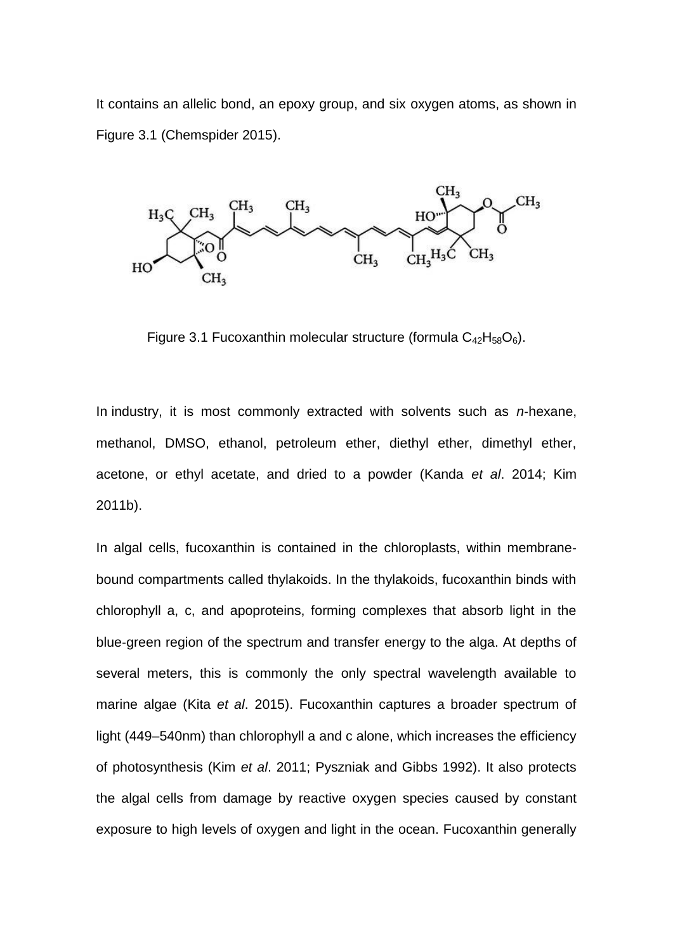It contains an allelic bond, an epoxy group, and six oxygen atoms, as shown in Figure 3.1 (Chemspider 2015).



Figure 3.1 Fucoxanthin molecular structure (formula  $C_{42}H_{58}O_6$ ).

In industry, it is most commonly extracted with solvents such as *n*‐hexane, methanol, DMSO, ethanol, petroleum ether, diethyl ether, dimethyl ether, acetone, or ethyl acetate, and dried to a powder (Kanda *et al*. 2014; Kim 2011b).

In algal cells, fucoxanthin is contained in the chloroplasts, within membrane‐ bound compartments called thylakoids. In the thylakoids, fucoxanthin binds with chlorophyll a, c, and apoproteins, forming complexes that absorb light in the blue‐green region of the spectrum and transfer energy to the alga. At depths of several meters, this is commonly the only spectral wavelength available to marine algae (Kita *et al*. 2015). Fucoxanthin captures a broader spectrum of light (449–540nm) than chlorophyll a and c alone, which increases the efficiency of photosynthesis (Kim *et al*. 2011; Pyszniak and Gibbs 1992). It also protects the algal cells from damage by reactive oxygen species caused by constant exposure to high levels of oxygen and light in the ocean. Fucoxanthin generally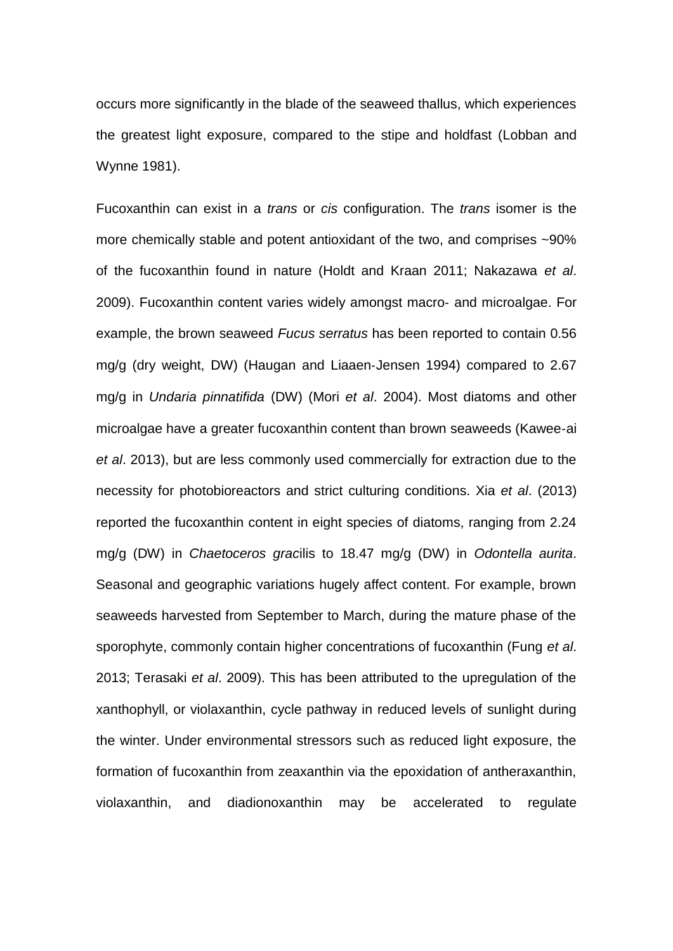occurs more significantly in the blade of the seaweed thallus, which experiences the greatest light exposure, compared to the stipe and holdfast (Lobban and Wynne 1981).

Fucoxanthin can exist in a *trans* or *cis* configuration. The *trans* isomer is the more chemically stable and potent antioxidant of the two, and comprises ~90% of the fucoxanthin found in nature (Holdt and Kraan 2011; Nakazawa *et al*. 2009). Fucoxanthin content varies widely amongst macro‐ and microalgae. For example, the brown seaweed *Fucus serratus* has been reported to contain 0.56 mg/g (dry weight, DW) (Haugan and Liaaen‐Jensen 1994) compared to 2.67 mg/g in *Undaria pinnatifida* (DW) (Mori *et al*. 2004). Most diatoms and other microalgae have a greater fucoxanthin content than brown seaweeds (Kawee‐ai *et al*. 2013), but are less commonly used commercially for extraction due to the necessity for photobioreactors and strict culturing conditions. Xia *et al*. (2013) reported the fucoxanthin content in eight species of diatoms, ranging from 2.24 mg/g (DW) in *Chaetoceros grac*ilis to 18.47 mg/g (DW) in *Odontella aurita*. Seasonal and geographic variations hugely affect content. For example, brown seaweeds harvested from September to March, during the mature phase of the sporophyte, commonly contain higher concentrations of fucoxanthin (Fung *et al*. 2013; Terasaki *et al*. 2009). This has been attributed to the upregulation of the xanthophyll, or violaxanthin, cycle pathway in reduced levels of sunlight during the winter. Under environmental stressors such as reduced light exposure, the formation of fucoxanthin from zeaxanthin via the epoxidation of antheraxanthin, violaxanthin, and diadionoxanthin may be accelerated to regulate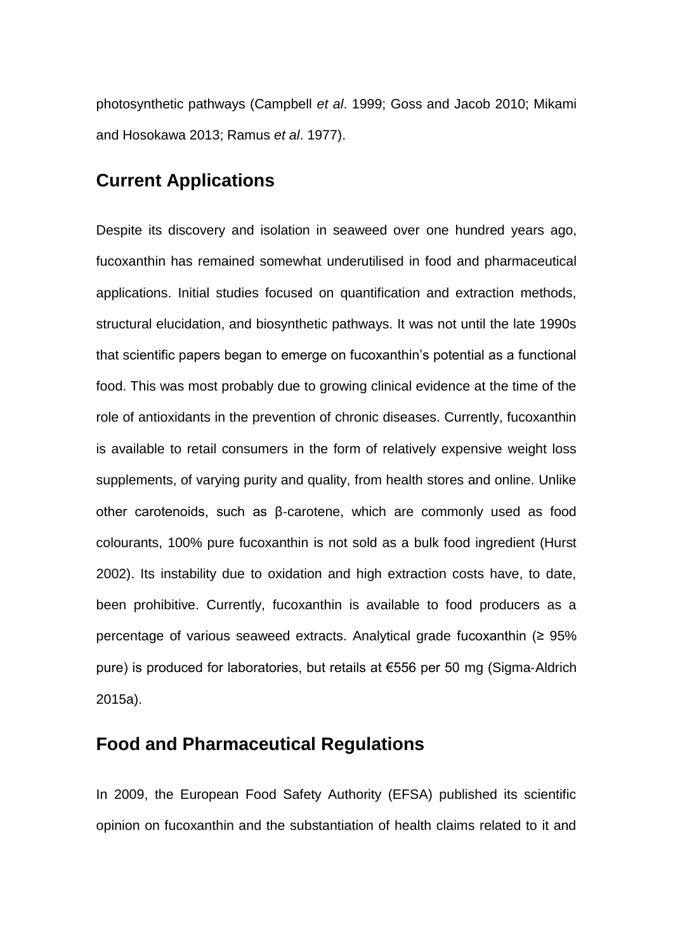photosynthetic pathways (Campbell *et al*. 1999; Goss and Jacob 2010; Mikami and Hosokawa 2013; Ramus *et al*. 1977).

## **Current Applications**

Despite its discovery and isolation in seaweed over one hundred years ago, fucoxanthin has remained somewhat underutilised in food and pharmaceutical applications. Initial studies focused on quantification and extraction methods, structural elucidation, and biosynthetic pathways. It was not until the late 1990s that scientific papers began to emerge on fucoxanthin's potential as a functional food. This was most probably due to growing clinical evidence at the time of the role of antioxidants in the prevention of chronic diseases. Currently, fucoxanthin is available to retail consumers in the form of relatively expensive weight loss supplements, of varying purity and quality, from health stores and online. Unlike other carotenoids, such as β‐carotene, which are commonly used as food colourants, 100% pure fucoxanthin is not sold as a bulk food ingredient (Hurst 2002). Its instability due to oxidation and high extraction costs have, to date, been prohibitive. Currently, fucoxanthin is available to food producers as a percentage of various seaweed extracts. Analytical grade fucoxanthin (≥ 95% pure) is produced for laboratories, but retails at €556 per 50 mg (Sigma‐Aldrich 2015a).

## **Food and Pharmaceutical Regulations**

In 2009, the European Food Safety Authority (EFSA) published its scientific opinion on fucoxanthin and the substantiation of health claims related to it and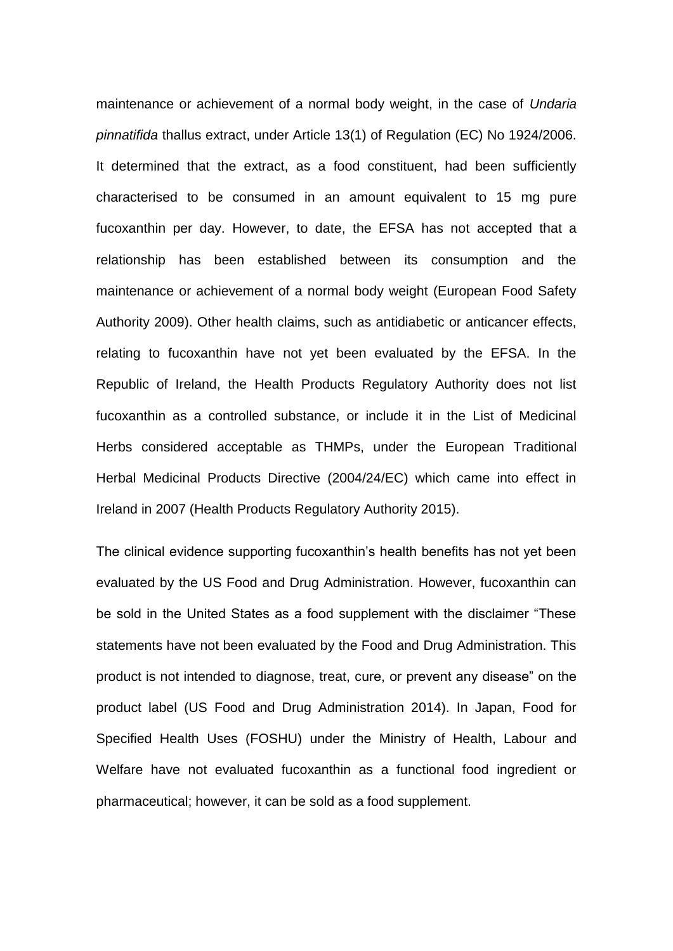maintenance or achievement of a normal body weight, in the case of *Undaria pinnatifida* thallus extract, under Article 13(1) of Regulation (EC) No 1924/2006. It determined that the extract, as a food constituent, had been sufficiently characterised to be consumed in an amount equivalent to 15 mg pure fucoxanthin per day. However, to date, the EFSA has not accepted that a relationship has been established between its consumption and the maintenance or achievement of a normal body weight (European Food Safety Authority 2009). Other health claims, such as antidiabetic or anticancer effects, relating to fucoxanthin have not yet been evaluated by the EFSA. In the Republic of Ireland, the Health Products Regulatory Authority does not list fucoxanthin as a controlled substance, or include it in the List of Medicinal Herbs considered acceptable as THMPs, under the European Traditional Herbal Medicinal Products Directive (2004/24/EC) which came into effect in Ireland in 2007 (Health Products Regulatory Authority 2015).

The clinical evidence supporting fucoxanthin's health benefits has not yet been evaluated by the US Food and Drug Administration. However, fucoxanthin can be sold in the United States as a food supplement with the disclaimer "These statements have not been evaluated by the Food and Drug Administration. This product is not intended to diagnose, treat, cure, or prevent any disease" on the product label (US Food and Drug Administration 2014). In Japan, Food for Specified Health Uses (FOSHU) under the Ministry of Health, Labour and Welfare have not evaluated fucoxanthin as a functional food ingredient or pharmaceutical; however, it can be sold as a food supplement.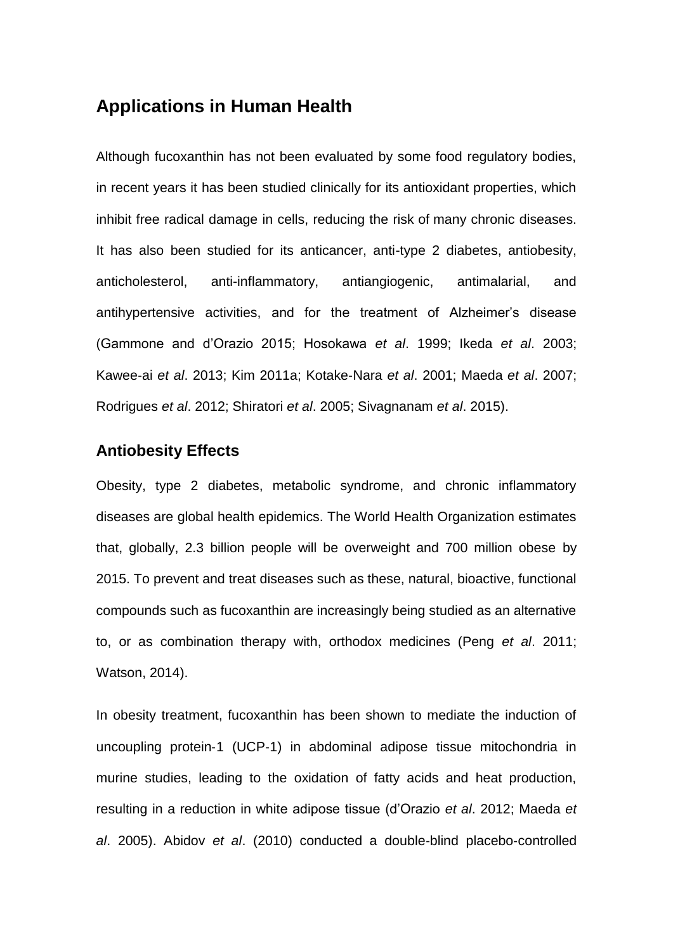## **Applications in Human Health**

Although fucoxanthin has not been evaluated by some food regulatory bodies, in recent years it has been studied clinically for its antioxidant properties, which inhibit free radical damage in cells, reducing the risk of many chronic diseases. It has also been studied for its anticancer, anti-type 2 diabetes, antiobesity, anticholesterol, anti-inflammatory, antiangiogenic, antimalarial, and antihypertensive activities, and for the treatment of Alzheimer's disease (Gammone and d'Orazio 2015; Hosokawa *et al*. 1999; Ikeda *et al*. 2003; Kawee‐ai *et al*. 2013; Kim 2011a; Kotake‐Nara *et al*. 2001; Maeda *et al*. 2007; Rodrigues *et al*. 2012; Shiratori *et al*. 2005; Sivagnanam *et al*. 2015).

#### **Antiobesity Effects**

Obesity, type 2 diabetes, metabolic syndrome, and chronic inflammatory diseases are global health epidemics. The World Health Organization estimates that, globally, 2.3 billion people will be overweight and 700 million obese by 2015. To prevent and treat diseases such as these, natural, bioactive, functional compounds such as fucoxanthin are increasingly being studied as an alternative to, or as combination therapy with, orthodox medicines (Peng *et al*. 2011; Watson, 2014).

In obesity treatment, fucoxanthin has been shown to mediate the induction of uncoupling protein‐1 (UCP‐1) in abdominal adipose tissue mitochondria in murine studies, leading to the oxidation of fatty acids and heat production, resulting in a reduction in white adipose tissue (d'Orazio *et al*. 2012; Maeda *et al*. 2005). Abidov *et al*. (2010) conducted a double‐blind placebo‐controlled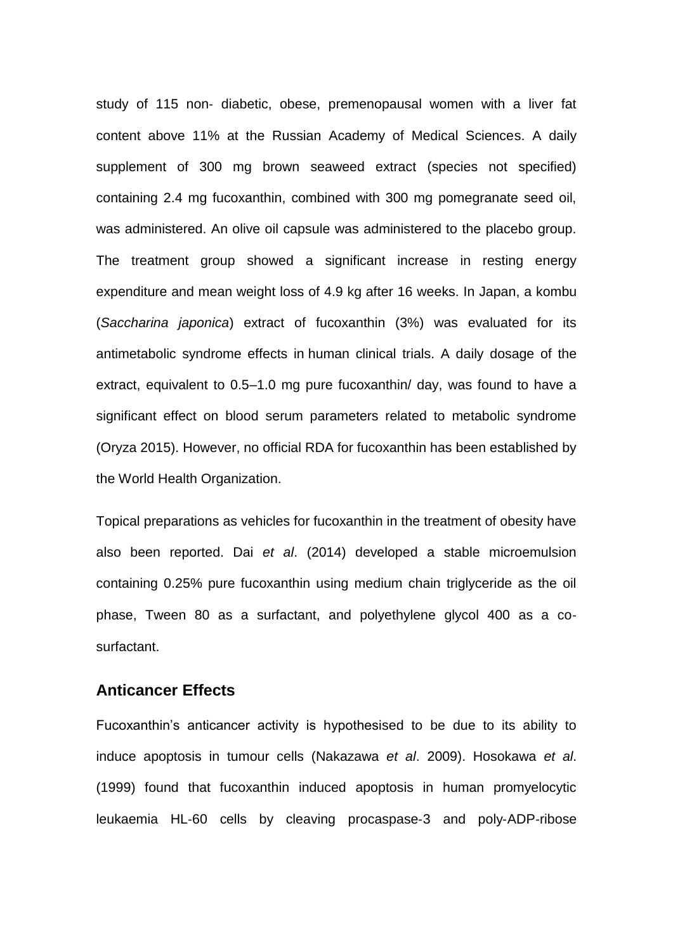study of 115 non‐ diabetic, obese, premenopausal women with a liver fat content above 11% at the Russian Academy of Medical Sciences. A daily supplement of 300 mg brown seaweed extract (species not specified) containing 2.4 mg fucoxanthin, combined with 300 mg pomegranate seed oil, was administered. An olive oil capsule was administered to the placebo group. The treatment group showed a significant increase in resting energy expenditure and mean weight loss of 4.9 kg after 16 weeks. In Japan, a kombu (*Saccharina japonica*) extract of fucoxanthin (3%) was evaluated for its antimetabolic syndrome effects in human clinical trials. A daily dosage of the extract, equivalent to 0.5–1.0 mg pure fucoxanthin/ day, was found to have a significant effect on blood serum parameters related to metabolic syndrome (Oryza 2015). However, no official RDA for fucoxanthin has been established by the World Health Organization.

Topical preparations as vehicles for fucoxanthin in the treatment of obesity have also been reported. Dai *et al*. (2014) developed a stable microemulsion containing 0.25% pure fucoxanthin using medium chain triglyceride as the oil phase, Tween 80 as a surfactant, and polyethylene glycol 400 as a co‐ surfactant.

#### **Anticancer Effects**

Fucoxanthin's anticancer activity is hypothesised to be due to its ability to induce apoptosis in tumour cells (Nakazawa *et al*. 2009). Hosokawa *et al*. (1999) found that fucoxanthin induced apoptosis in human promyelocytic leukaemia HL‐60 cells by cleaving procaspase‐3 and poly‐ADP‐ribose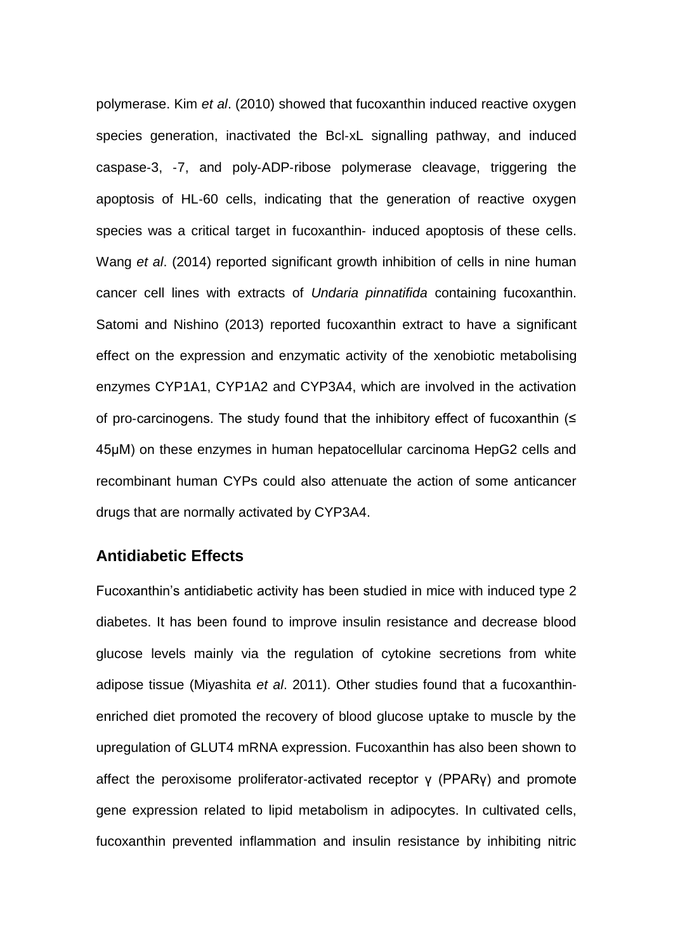polymerase. Kim *et al*. (2010) showed that fucoxanthin induced reactive oxygen species generation, inactivated the Bcl-xL signalling pathway, and induced caspase‐3, ‐7, and poly‐ADP‐ribose polymerase cleavage, triggering the apoptosis of HL‐60 cells, indicating that the generation of reactive oxygen species was a critical target in fucoxanthin‐ induced apoptosis of these cells. Wang *et al*. (2014) reported significant growth inhibition of cells in nine human cancer cell lines with extracts of *Undaria pinnatifida* containing fucoxanthin. Satomi and Nishino (2013) reported fucoxanthin extract to have a significant effect on the expression and enzymatic activity of the xenobiotic metabolising enzymes CYP1A1, CYP1A2 and CYP3A4, which are involved in the activation of pro‐carcinogens. The study found that the inhibitory effect of fucoxanthin (≤ 45μM) on these enzymes in human hepatocellular carcinoma HepG2 cells and recombinant human CYPs could also attenuate the action of some anticancer drugs that are normally activated by CYP3A4.

#### **Antidiabetic Effects**

Fucoxanthin's antidiabetic activity has been studied in mice with induced type 2 diabetes. It has been found to improve insulin resistance and decrease blood glucose levels mainly via the regulation of cytokine secretions from white adipose tissue (Miyashita *et al*. 2011). Other studies found that a fucoxanthin‐ enriched diet promoted the recovery of blood glucose uptake to muscle by the upregulation of GLUT4 mRNA expression. Fucoxanthin has also been shown to affect the peroxisome proliferator‐activated receptor γ (PPARγ) and promote gene expression related to lipid metabolism in adipocytes. In cultivated cells, fucoxanthin prevented inflammation and insulin resistance by inhibiting nitric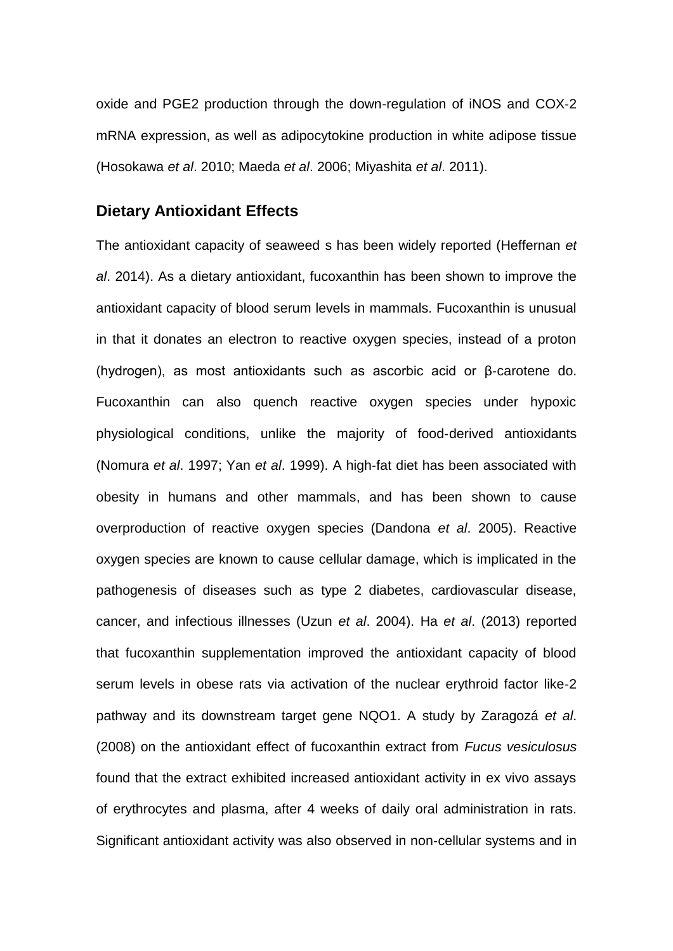oxide and PGE2 production through the down-regulation of iNOS and COX‐2 mRNA expression, as well as adipocytokine production in white adipose tissue (Hosokawa *et al*. 2010; Maeda *et al*. 2006; Miyashita *et al*. 2011).

#### **Dietary Antioxidant Effects**

The antioxidant capacity of seaweed s has been widely reported (Heffernan *et al*. 2014). As a dietary antioxidant, fucoxanthin has been shown to improve the antioxidant capacity of blood serum levels in mammals. Fucoxanthin is unusual in that it donates an electron to reactive oxygen species, instead of a proton (hydrogen), as most antioxidants such as ascorbic acid or β‐carotene do. Fucoxanthin can also quench reactive oxygen species under hypoxic physiological conditions, unlike the majority of food‐derived antioxidants (Nomura *et al*. 1997; Yan *et al*. 1999). A high‐fat diet has been associated with obesity in humans and other mammals, and has been shown to cause overproduction of reactive oxygen species (Dandona *et al*. 2005). Reactive oxygen species are known to cause cellular damage, which is implicated in the pathogenesis of diseases such as type 2 diabetes, cardiovascular disease, cancer, and infectious illnesses (Uzun *et al*. 2004). Ha *et al*. (2013) reported that fucoxanthin supplementation improved the antioxidant capacity of blood serum levels in obese rats via activation of the nuclear erythroid factor like‐2 pathway and its downstream target gene NQO1. A study by Zaragozá *et al*. (2008) on the antioxidant effect of fucoxanthin extract from *Fucus vesiculosus* found that the extract exhibited increased antioxidant activity in ex vivo assays of erythrocytes and plasma, after 4 weeks of daily oral administration in rats. Significant antioxidant activity was also observed in non‐cellular systems and in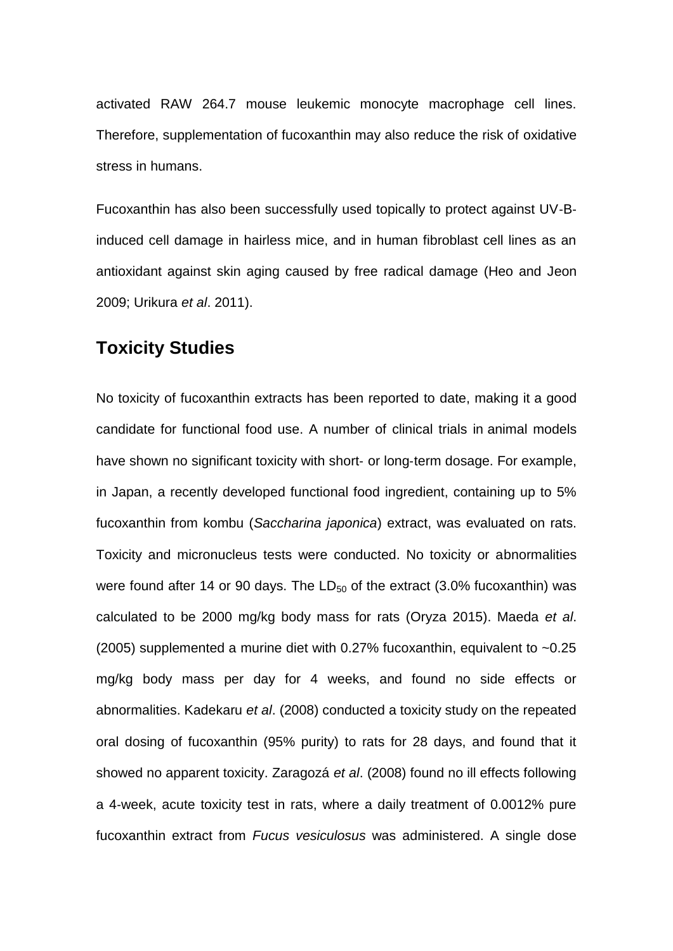activated RAW 264.7 mouse leukemic monocyte macrophage cell lines. Therefore, supplementation of fucoxanthin may also reduce the risk of oxidative stress in humans.

Fucoxanthin has also been successfully used topically to protect against UV‐B‐ induced cell damage in hairless mice, and in human fibroblast cell lines as an antioxidant against skin aging caused by free radical damage (Heo and Jeon 2009; Urikura *et al*. 2011).

## **Toxicity Studies**

No toxicity of fucoxanthin extracts has been reported to date, making it a good candidate for functional food use. A number of clinical trials in animal models have shown no significant toxicity with short- or long-term dosage. For example, in Japan, a recently developed functional food ingredient, containing up to 5% fucoxanthin from kombu (*Saccharina japonica*) extract, was evaluated on rats. Toxicity and micronucleus tests were conducted. No toxicity or abnormalities were found after 14 or 90 days. The  $LD_{50}$  of the extract (3.0% fucoxanthin) was calculated to be 2000 mg/kg body mass for rats (Oryza 2015). Maeda *et al*. (2005) supplemented a murine diet with 0.27% fucoxanthin, equivalent to ~0.25 mg/kg body mass per day for 4 weeks, and found no side effects or abnormalities. Kadekaru *et al*. (2008) conducted a toxicity study on the repeated oral dosing of fucoxanthin (95% purity) to rats for 28 days, and found that it showed no apparent toxicity. Zaragozá *et al*. (2008) found no ill effects following a 4‐week, acute toxicity test in rats, where a daily treatment of 0.0012% pure fucoxanthin extract from *Fucus vesiculosus* was administered. A single dose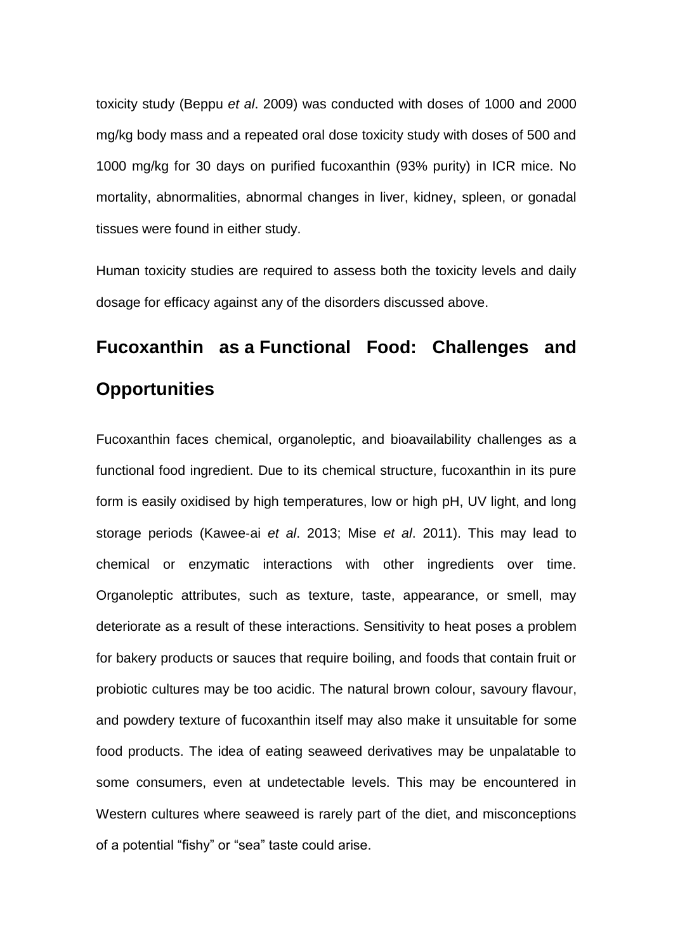toxicity study (Beppu *et al*. 2009) was conducted with doses of 1000 and 2000 mg/kg body mass and a repeated oral dose toxicity study with doses of 500 and 1000 mg/kg for 30 days on purified fucoxanthin (93% purity) in ICR mice. No mortality, abnormalities, abnormal changes in liver, kidney, spleen, or gonadal tissues were found in either study.

Human toxicity studies are required to assess both the toxicity levels and daily dosage for efficacy against any of the disorders discussed above.

## **Fucoxanthin as a Functional Food: Challenges and Opportunities**

Fucoxanthin faces chemical, organoleptic, and bioavailability challenges as a functional food ingredient. Due to its chemical structure, fucoxanthin in its pure form is easily oxidised by high temperatures, low or high pH, UV light, and long storage periods (Kawee‐ai *et al*. 2013; Mise *et al*. 2011). This may lead to chemical or enzymatic interactions with other ingredients over time. Organoleptic attributes, such as texture, taste, appearance, or smell, may deteriorate as a result of these interactions. Sensitivity to heat poses a problem for bakery products or sauces that require boiling, and foods that contain fruit or probiotic cultures may be too acidic. The natural brown colour, savoury flavour, and powdery texture of fucoxanthin itself may also make it unsuitable for some food products. The idea of eating seaweed derivatives may be unpalatable to some consumers, even at undetectable levels. This may be encountered in Western cultures where seaweed is rarely part of the diet, and misconceptions of a potential "fishy" or "sea" taste could arise.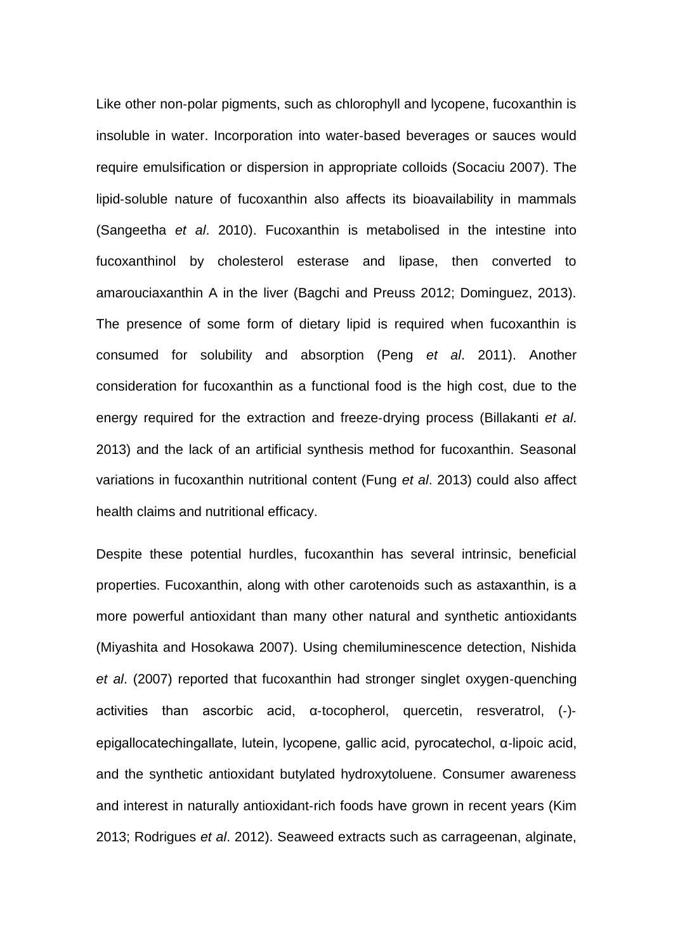Like other non‐polar pigments, such as chlorophyll and lycopene, fucoxanthin is insoluble in water. Incorporation into water‐based beverages or sauces would require emulsification or dispersion in appropriate colloids (Socaciu 2007). The lipid‐soluble nature of fucoxanthin also affects its bioavailability in mammals (Sangeetha *et al*. 2010). Fucoxanthin is metabolised in the intestine into fucoxanthinol by cholesterol esterase and lipase, then converted to amarouciaxanthin A in the liver (Bagchi and Preuss 2012; Dominguez, 2013). The presence of some form of dietary lipid is required when fucoxanthin is consumed for solubility and absorption (Peng *et al*. 2011). Another consideration for fucoxanthin as a functional food is the high cost, due to the energy required for the extraction and freeze‐drying process (Billakanti *et al*. 2013) and the lack of an artificial synthesis method for fucoxanthin. Seasonal variations in fucoxanthin nutritional content (Fung *et al*. 2013) could also affect health claims and nutritional efficacy.

Despite these potential hurdles, fucoxanthin has several intrinsic, beneficial properties. Fucoxanthin, along with other carotenoids such as astaxanthin, is a more powerful antioxidant than many other natural and synthetic antioxidants (Miyashita and Hosokawa 2007). Using chemiluminescence detection, Nishida *et al*. (2007) reported that fucoxanthin had stronger singlet oxygen‐quenching activities than ascorbic acid, α‐tocopherol, quercetin, resveratrol, (‐)‐ epigallocatechingallate, lutein, lycopene, gallic acid, pyrocatechol, α‐lipoic acid, and the synthetic antioxidant butylated hydroxytoluene. Consumer awareness and interest in naturally antioxidant‐rich foods have grown in recent years (Kim 2013; Rodrigues *et al*. 2012). Seaweed extracts such as carrageenan, alginate,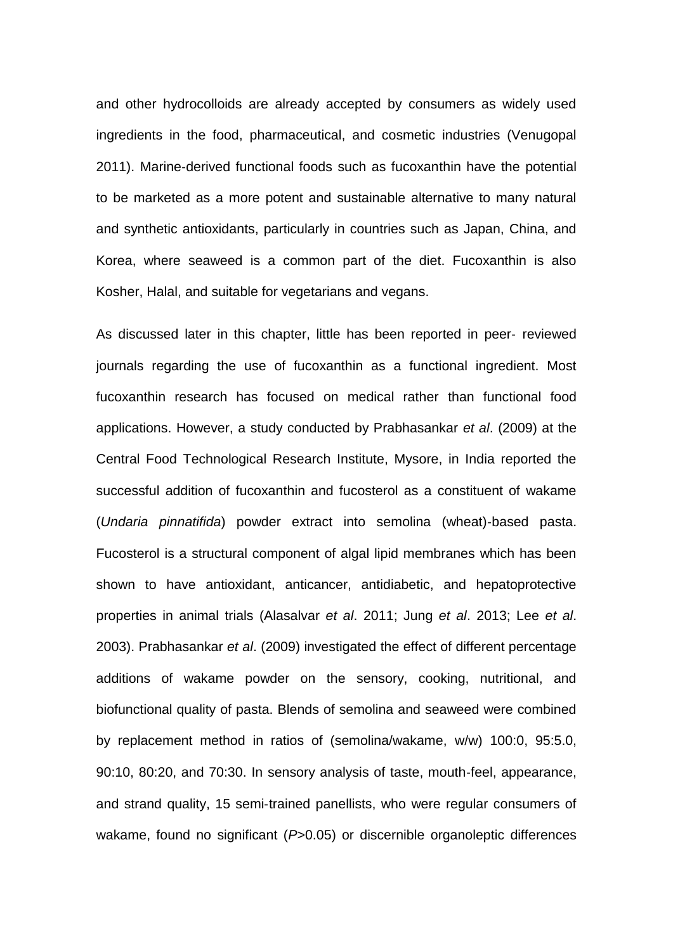and other hydrocolloids are already accepted by consumers as widely used ingredients in the food, pharmaceutical, and cosmetic industries (Venugopal 2011). Marine‐derived functional foods such as fucoxanthin have the potential to be marketed as a more potent and sustainable alternative to many natural and synthetic antioxidants, particularly in countries such as Japan, China, and Korea, where seaweed is a common part of the diet. Fucoxanthin is also Kosher, Halal, and suitable for vegetarians and vegans.

As discussed later in this chapter, little has been reported in peer‐ reviewed journals regarding the use of fucoxanthin as a functional ingredient. Most fucoxanthin research has focused on medical rather than functional food applications. However, a study conducted by Prabhasankar *et al*. (2009) at the Central Food Technological Research Institute, Mysore, in India reported the successful addition of fucoxanthin and fucosterol as a constituent of wakame (*Undaria pinnatifida*) powder extract into semolina (wheat)‐based pasta. Fucosterol is a structural component of algal lipid membranes which has been shown to have antioxidant, anticancer, antidiabetic, and hepatoprotective properties in animal trials (Alasalvar *et al*. 2011; Jung *et al*. 2013; Lee *et al*. 2003). Prabhasankar *et al*. (2009) investigated the effect of different percentage additions of wakame powder on the sensory, cooking, nutritional, and biofunctional quality of pasta. Blends of semolina and seaweed were combined by replacement method in ratios of (semolina/wakame, w/w) 100:0, 95:5.0, 90:10, 80:20, and 70:30. In sensory analysis of taste, mouth‐feel, appearance, and strand quality, 15 semi‐trained panellists, who were regular consumers of wakame, found no significant ( $P > 0.05$ ) or discernible organoleptic differences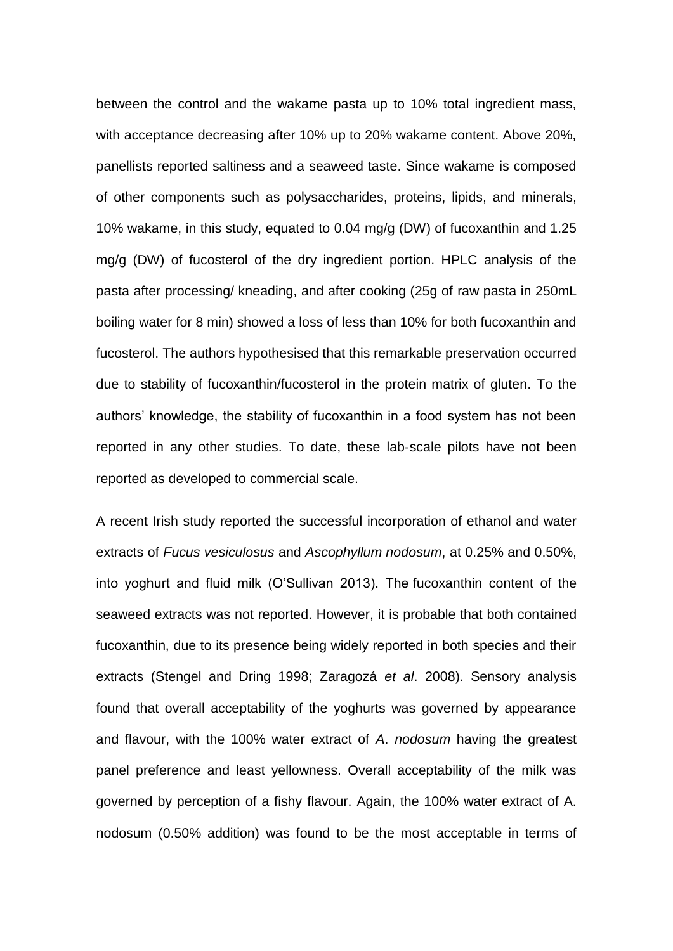between the control and the wakame pasta up to 10% total ingredient mass, with acceptance decreasing after 10% up to 20% wakame content. Above 20%, panellists reported saltiness and a seaweed taste. Since wakame is composed of other components such as polysaccharides, proteins, lipids, and minerals, 10% wakame, in this study, equated to 0.04 mg/g (DW) of fucoxanthin and 1.25 mg/g (DW) of fucosterol of the dry ingredient portion. HPLC analysis of the pasta after processing/ kneading, and after cooking (25g of raw pasta in 250mL boiling water for 8 min) showed a loss of less than 10% for both fucoxanthin and fucosterol. The authors hypothesised that this remarkable preservation occurred due to stability of fucoxanthin/fucosterol in the protein matrix of gluten. To the authors' knowledge, the stability of fucoxanthin in a food system has not been reported in any other studies. To date, these lab‐scale pilots have not been reported as developed to commercial scale.

A recent Irish study reported the successful incorporation of ethanol and water extracts of *Fucus vesiculosus* and *Ascophyllum nodosum*, at 0.25% and 0.50%, into yoghurt and fluid milk (O'Sullivan 2013). The fucoxanthin content of the seaweed extracts was not reported. However, it is probable that both contained fucoxanthin, due to its presence being widely reported in both species and their extracts (Stengel and Dring 1998; Zaragozá *et al*. 2008). Sensory analysis found that overall acceptability of the yoghurts was governed by appearance and flavour, with the 100% water extract of *A*. *nodosum* having the greatest panel preference and least yellowness. Overall acceptability of the milk was governed by perception of a fishy flavour. Again, the 100% water extract of A. nodosum (0.50% addition) was found to be the most acceptable in terms of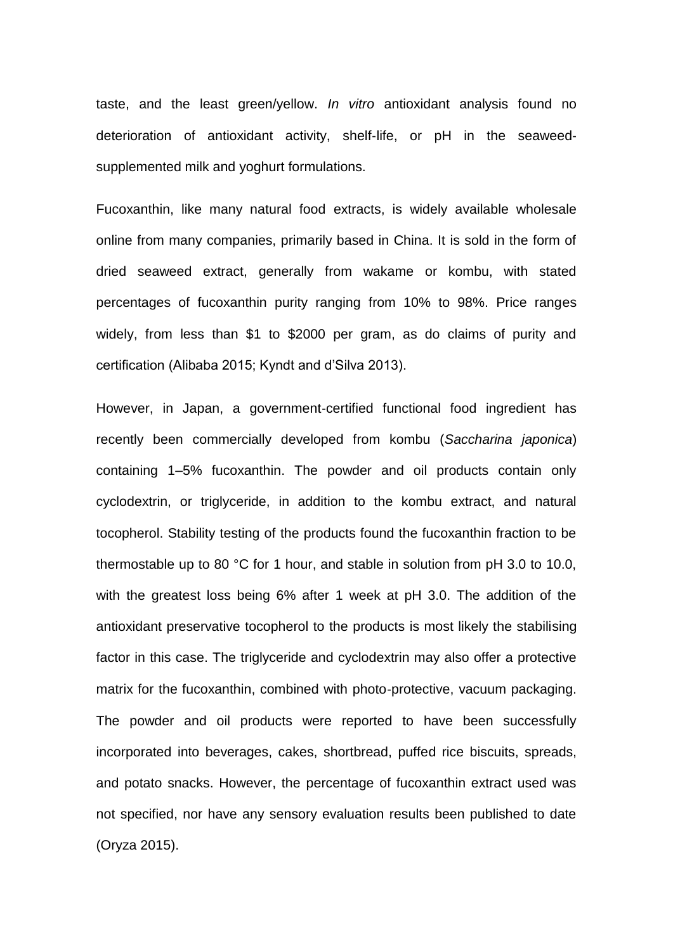taste, and the least green/yellow. *In vitro* antioxidant analysis found no deterioration of antioxidant activity, shelf‐life, or pH in the seaweed‐ supplemented milk and yoghurt formulations.

Fucoxanthin, like many natural food extracts, is widely available wholesale online from many companies, primarily based in China. It is sold in the form of dried seaweed extract, generally from wakame or kombu, with stated percentages of fucoxanthin purity ranging from 10% to 98%. Price ranges widely, from less than \$1 to \$2000 per gram, as do claims of purity and certification (Alibaba 2015; Kyndt and d'Silva 2013).

However, in Japan, a government-certified functional food ingredient has recently been commercially developed from kombu (*Saccharina japonica*) containing 1–5% fucoxanthin. The powder and oil products contain only cyclodextrin, or triglyceride, in addition to the kombu extract, and natural tocopherol. Stability testing of the products found the fucoxanthin fraction to be thermostable up to 80 °C for 1 hour, and stable in solution from pH 3.0 to 10.0, with the greatest loss being 6% after 1 week at pH 3.0. The addition of the antioxidant preservative tocopherol to the products is most likely the stabilising factor in this case. The triglyceride and cyclodextrin may also offer a protective matrix for the fucoxanthin, combined with photo‐protective, vacuum packaging. The powder and oil products were reported to have been successfully incorporated into beverages, cakes, shortbread, puffed rice biscuits, spreads, and potato snacks. However, the percentage of fucoxanthin extract used was not specified, nor have any sensory evaluation results been published to date (Oryza 2015).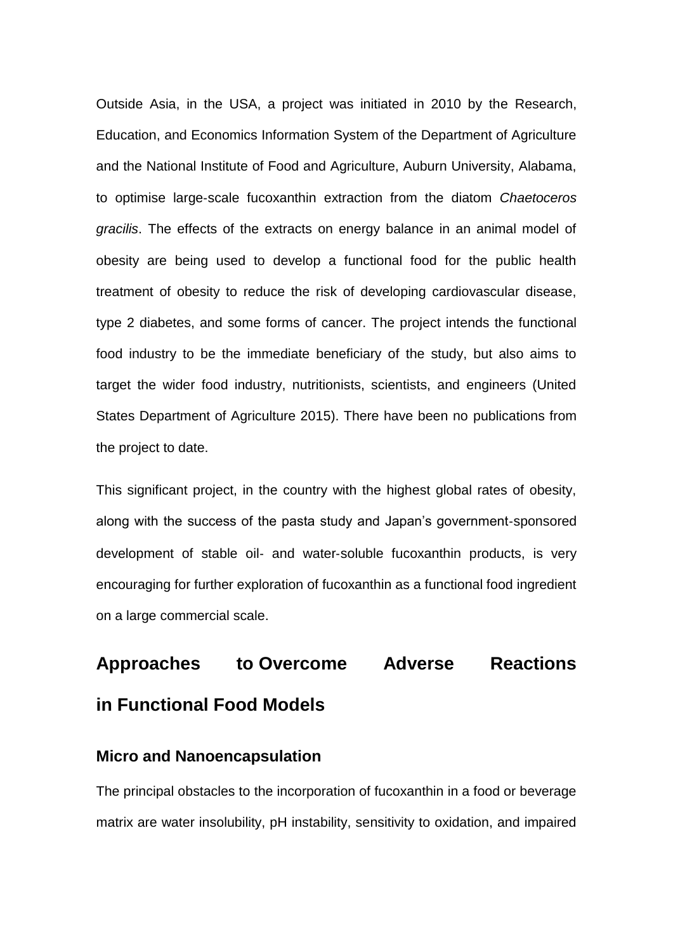Outside Asia, in the USA, a project was initiated in 2010 by the Research, Education, and Economics Information System of the Department of Agriculture and the National Institute of Food and Agriculture, Auburn University, Alabama, to optimise large‐scale fucoxanthin extraction from the diatom *Chaetoceros gracilis*. The effects of the extracts on energy balance in an animal model of obesity are being used to develop a functional food for the public health treatment of obesity to reduce the risk of developing cardiovascular disease, type 2 diabetes, and some forms of cancer. The project intends the functional food industry to be the immediate beneficiary of the study, but also aims to target the wider food industry, nutritionists, scientists, and engineers (United States Department of Agriculture 2015). There have been no publications from the project to date.

This significant project, in the country with the highest global rates of obesity, along with the success of the pasta study and Japan's government‐sponsored development of stable oil‐ and water‐soluble fucoxanthin products, is very encouraging for further exploration of fucoxanthin as a functional food ingredient on a large commercial scale.

## **Approaches to Overcome Adverse Reactions**

## **in Functional Food Models**

#### **Micro and Nanoencapsulation**

The principal obstacles to the incorporation of fucoxanthin in a food or beverage matrix are water insolubility, pH instability, sensitivity to oxidation, and impaired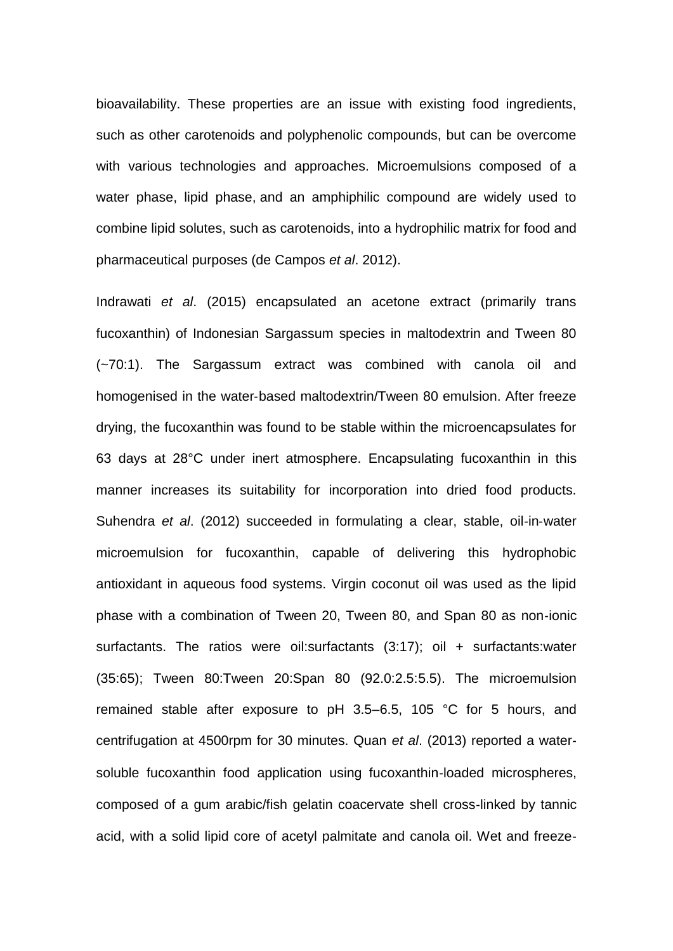bioavailability. These properties are an issue with existing food ingredients, such as other carotenoids and polyphenolic compounds, but can be overcome with various technologies and approaches. Microemulsions composed of a water phase, lipid phase, and an amphiphilic compound are widely used to combine lipid solutes, such as carotenoids, into a hydrophilic matrix for food and pharmaceutical purposes (de Campos *et al*. 2012).

Indrawati *et al*. (2015) encapsulated an acetone extract (primarily trans fucoxanthin) of Indonesian Sargassum species in maltodextrin and Tween 80 (~70:1). The Sargassum extract was combined with canola oil and homogenised in the water‐based maltodextrin/Tween 80 emulsion. After freeze drying, the fucoxanthin was found to be stable within the microencapsulates for 63 days at 28°C under inert atmosphere. Encapsulating fucoxanthin in this manner increases its suitability for incorporation into dried food products. Suhendra *et al*. (2012) succeeded in formulating a clear, stable, oil‐in‐water microemulsion for fucoxanthin, capable of delivering this hydrophobic antioxidant in aqueous food systems. Virgin coconut oil was used as the lipid phase with a combination of Tween 20, Tween 80, and Span 80 as non‐ionic surfactants. The ratios were oil:surfactants (3:17); oil + surfactants:water (35:65); Tween 80:Tween 20:Span 80 (92.0:2.5:5.5). The microemulsion remained stable after exposure to pH 3.5–6.5, 105 °C for 5 hours, and centrifugation at 4500rpm for 30 minutes. Quan *et al*. (2013) reported a water‐ soluble fucoxanthin food application using fucoxanthin‐loaded microspheres, composed of a gum arabic/fish gelatin coacervate shell cross‐linked by tannic acid, with a solid lipid core of acetyl palmitate and canola oil. Wet and freeze‐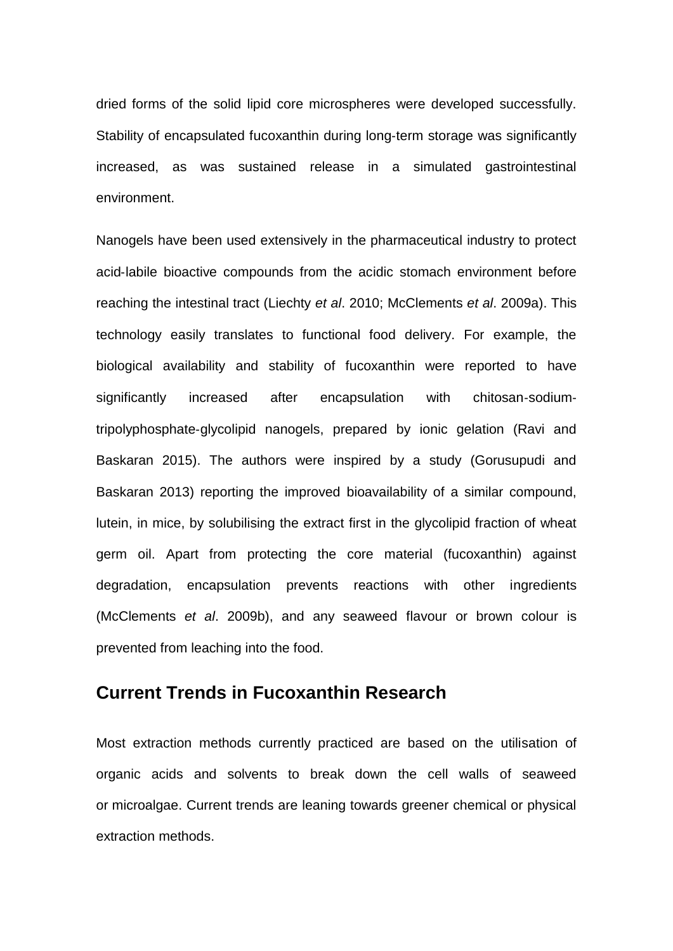dried forms of the solid lipid core microspheres were developed successfully. Stability of encapsulated fucoxanthin during long-term storage was significantly increased, as was sustained release in a simulated gastrointestinal environment.

Nanogels have been used extensively in the pharmaceutical industry to protect acid‐labile bioactive compounds from the acidic stomach environment before reaching the intestinal tract (Liechty *et al*. 2010; McClements *et al*. 2009a). This technology easily translates to functional food delivery. For example, the biological availability and stability of fucoxanthin were reported to have significantly increased after encapsulation with chitosan-sodiumtripolyphosphate‐glycolipid nanogels, prepared by ionic gelation (Ravi and Baskaran 2015). The authors were inspired by a study (Gorusupudi and Baskaran 2013) reporting the improved bioavailability of a similar compound, lutein, in mice, by solubilising the extract first in the glycolipid fraction of wheat germ oil. Apart from protecting the core material (fucoxanthin) against degradation, encapsulation prevents reactions with other ingredients (McClements *et al*. 2009b), and any seaweed flavour or brown colour is prevented from leaching into the food.

### **Current Trends in Fucoxanthin Research**

Most extraction methods currently practiced are based on the utilisation of organic acids and solvents to break down the cell walls of seaweed or microalgae. Current trends are leaning towards greener chemical or physical extraction methods.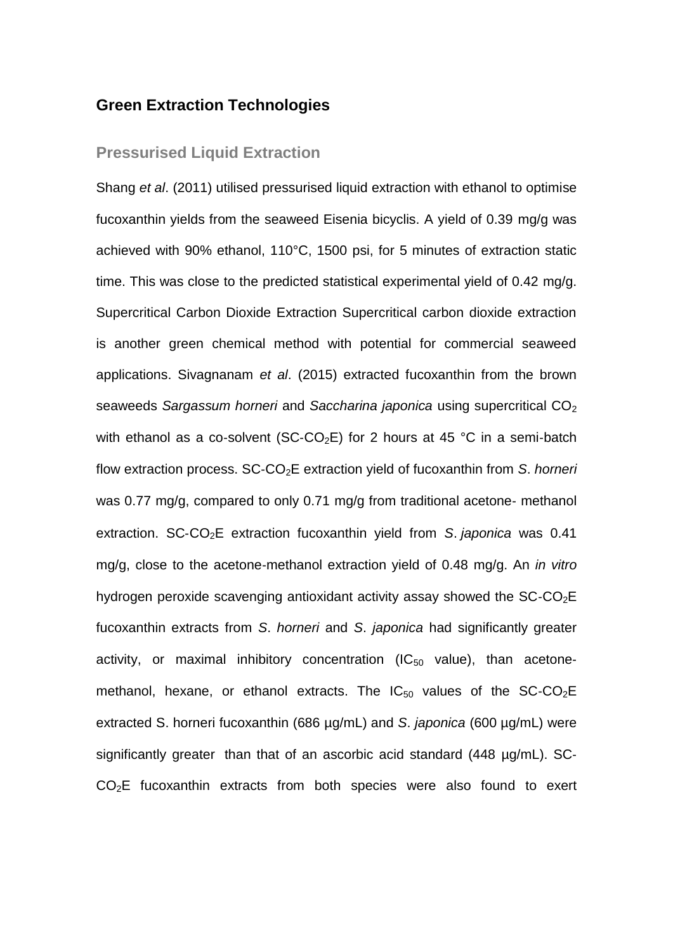#### **Green Extraction Technologies**

#### **Pressurised Liquid Extraction**

Shang *et al*. (2011) utilised pressurised liquid extraction with ethanol to optimise fucoxanthin yields from the seaweed Eisenia bicyclis. A yield of 0.39 mg/g was achieved with 90% ethanol, 110°C, 1500 psi, for 5 minutes of extraction static time. This was close to the predicted statistical experimental yield of 0.42 mg/g. Supercritical Carbon Dioxide Extraction Supercritical carbon dioxide extraction is another green chemical method with potential for commercial seaweed applications. Sivagnanam *et al*. (2015) extracted fucoxanthin from the brown seaweeds *Sargassum horneri* and *Saccharina japonica* using supercritical CO<sub>2</sub> with ethanol as a co-solvent (SC-CO<sub>2</sub>E) for 2 hours at 45 °C in a semi-batch flow extraction process. SC‐CO2E extraction yield of fucoxanthin from *S*. *horneri* was 0.77 mg/g, compared to only 0.71 mg/g from traditional acetone- methanol extraction. SC‐CO2E extraction fucoxanthin yield from *S*. *japonica* was 0.41 mg/g, close to the acetone‐methanol extraction yield of 0.48 mg/g. An *in vitro* hydrogen peroxide scavenging antioxidant activity assay showed the  $SC\text{-}CO<sub>2</sub>E$ fucoxanthin extracts from *S*. *horneri* and *S*. *japonica* had significantly greater activity, or maximal inhibitory concentration ( $IC_{50}$  value), than acetonemethanol, hexane, or ethanol extracts. The  $IC_{50}$  values of the SC-CO<sub>2</sub>E extracted S. horneri fucoxanthin (686 µg/mL) and *S*. *japonica* (600 µg/mL) were significantly greater than that of an ascorbic acid standard (448 µg/mL). SC‐ CO<sub>2</sub>E fucoxanthin extracts from both species were also found to exert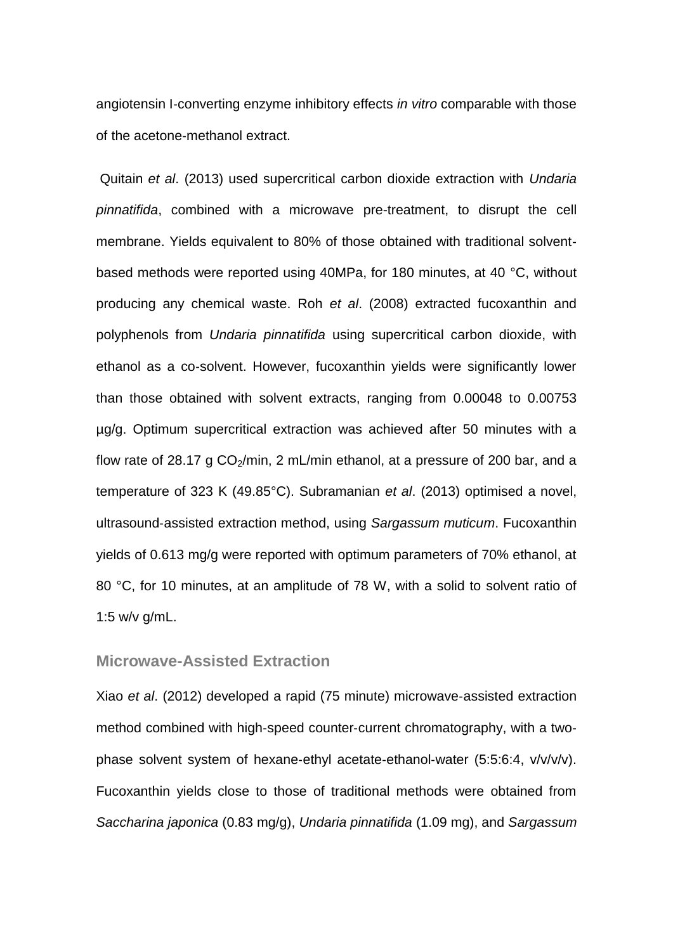angiotensin I‐converting enzyme inhibitory effects *in vitro* comparable with those of the acetone‐methanol extract.

Quitain *et al*. (2013) used supercritical carbon dioxide extraction with *Undaria pinnatifida*, combined with a microwave pre-treatment, to disrupt the cell membrane. Yields equivalent to 80% of those obtained with traditional solventbased methods were reported using 40MPa, for 180 minutes, at 40 °C, without producing any chemical waste. Roh *et al*. (2008) extracted fucoxanthin and polyphenols from *Undaria pinnatifida* using supercritical carbon dioxide, with ethanol as a co‐solvent. However, fucoxanthin yields were significantly lower than those obtained with solvent extracts, ranging from 0.00048 to 0.00753 µg/g. Optimum supercritical extraction was achieved after 50 minutes with a flow rate of 28.17 g  $CO<sub>2</sub>/min$ , 2 mL/min ethanol, at a pressure of 200 bar, and a temperature of 323 K (49.85°C). Subramanian *et al*. (2013) optimised a novel, ultrasound‐assisted extraction method, using *Sargassum muticum*. Fucoxanthin yields of 0.613 mg/g were reported with optimum parameters of 70% ethanol, at 80 °C, for 10 minutes, at an amplitude of 78 W, with a solid to solvent ratio of 1:5 w/v g/mL.

#### **Microwave-Assisted Extraction**

Xiao *et al*. (2012) developed a rapid (75 minute) microwave‐assisted extraction method combined with high-speed counter-current chromatography, with a twophase solvent system of hexane‐ethyl acetate‐ethanol‐water (5:5:6:4, v/v/v/v). Fucoxanthin yields close to those of traditional methods were obtained from *Saccharina japonica* (0.83 mg/g), *Undaria pinnatifida* (1.09 mg), and *Sargassum*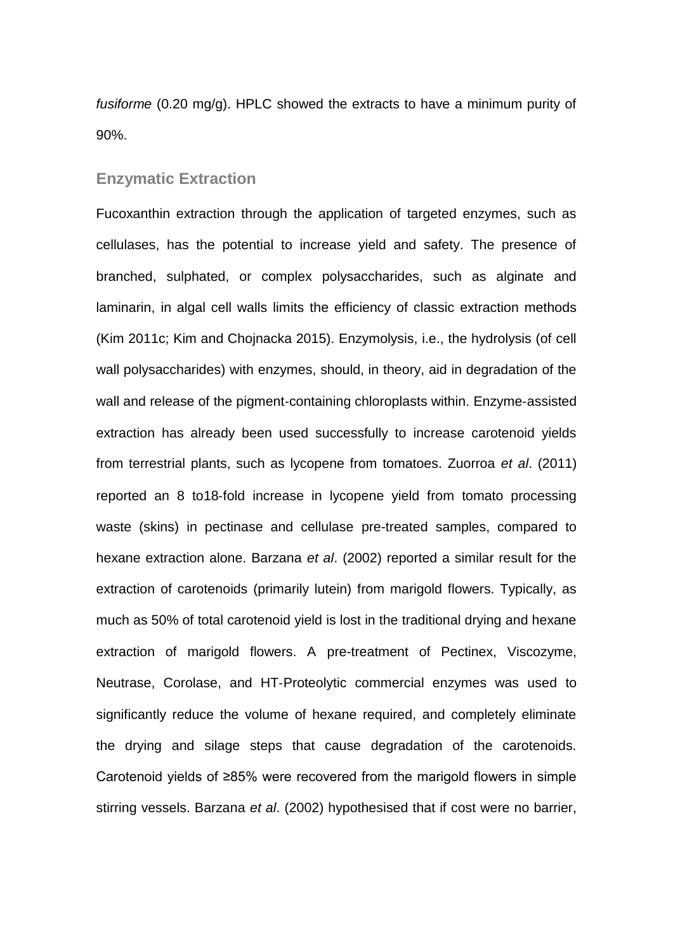*fusiforme* (0.20 mg/g). HPLC showed the extracts to have a minimum purity of 90%.

#### **Enzymatic Extraction**

Fucoxanthin extraction through the application of targeted enzymes, such as cellulases, has the potential to increase yield and safety. The presence of branched, sulphated, or complex polysaccharides, such as alginate and laminarin, in algal cell walls limits the efficiency of classic extraction methods (Kim 2011c; Kim and Chojnacka 2015). Enzymolysis, i.e., the hydrolysis (of cell wall polysaccharides) with enzymes, should, in theory, aid in degradation of the wall and release of the pigment-containing chloroplasts within. Enzyme-assisted extraction has already been used successfully to increase carotenoid yields from terrestrial plants, such as lycopene from tomatoes. Zuorroa *et al*. (2011) reported an 8 to18‐fold increase in lycopene yield from tomato processing waste (skins) in pectinase and cellulase pre-treated samples, compared to hexane extraction alone. Barzana *et al*. (2002) reported a similar result for the extraction of carotenoids (primarily lutein) from marigold flowers. Typically, as much as 50% of total carotenoid yield is lost in the traditional drying and hexane extraction of marigold flowers. A pre-treatment of Pectinex, Viscozyme, Neutrase, Corolase, and HT‐Proteolytic commercial enzymes was used to significantly reduce the volume of hexane required, and completely eliminate the drying and silage steps that cause degradation of the carotenoids. Carotenoid yields of ≥85% were recovered from the marigold flowers in simple stirring vessels. Barzana *et al*. (2002) hypothesised that if cost were no barrier,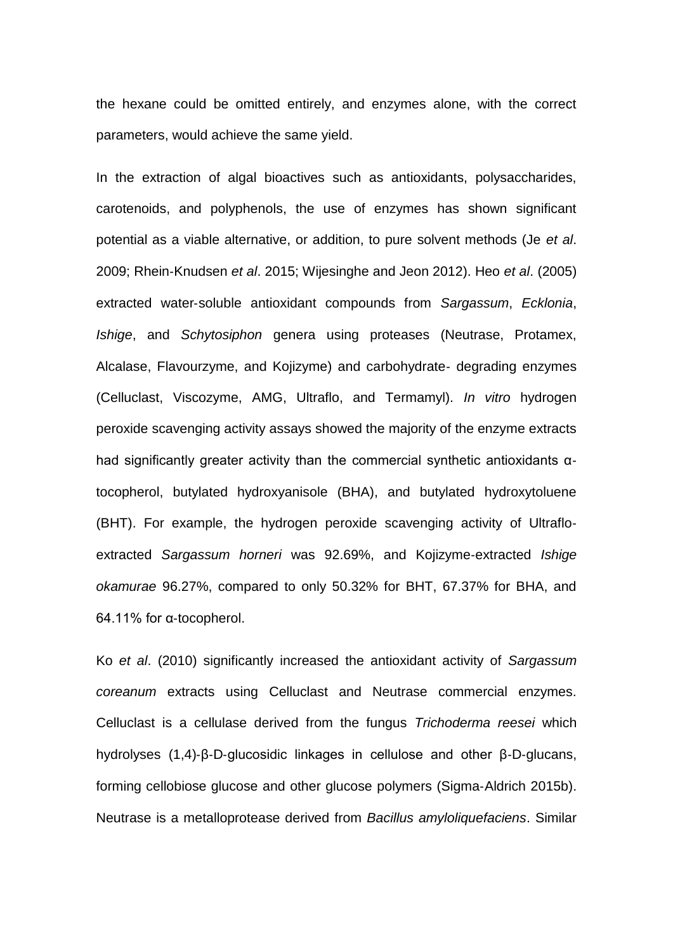the hexane could be omitted entirely, and enzymes alone, with the correct parameters, would achieve the same yield.

In the extraction of algal bioactives such as antioxidants, polysaccharides, carotenoids, and polyphenols, the use of enzymes has shown significant potential as a viable alternative, or addition, to pure solvent methods (Je *et al*. 2009; Rhein‐Knudsen *et al*. 2015; Wijesinghe and Jeon 2012). Heo *et al*. (2005) extracted water‐soluble antioxidant compounds from *Sargassum*, *Ecklonia*, *Ishige*, and *Schytosiphon* genera using proteases (Neutrase, Protamex, Alcalase, Flavourzyme, and Kojizyme) and carbohydrate‐ degrading enzymes (Celluclast, Viscozyme, AMG, Ultraflo, and Termamyl). *In vitro* hydrogen peroxide scavenging activity assays showed the majority of the enzyme extracts had significantly greater activity than the commercial synthetic antioxidants α‐ tocopherol, butylated hydroxyanisole (BHA), and butylated hydroxytoluene (BHT). For example, the hydrogen peroxide scavenging activity of Ultraflo‐ extracted *Sargassum horneri* was 92.69%, and Kojizyme‐extracted *Ishige okamurae* 96.27%, compared to only 50.32% for BHT, 67.37% for BHA, and 64.11% for α‐tocopherol.

Ko *et al*. (2010) significantly increased the antioxidant activity of *Sargassum coreanum* extracts using Celluclast and Neutrase commercial enzymes. Celluclast is a cellulase derived from the fungus *Trichoderma reesei* which hydrolyses (1,4)‐β‐D‐glucosidic linkages in cellulose and other β‐D‐glucans, forming cellobiose glucose and other glucose polymers (Sigma-Aldrich 2015b). Neutrase is a metalloprotease derived from *Bacillus amyloliquefaciens*. Similar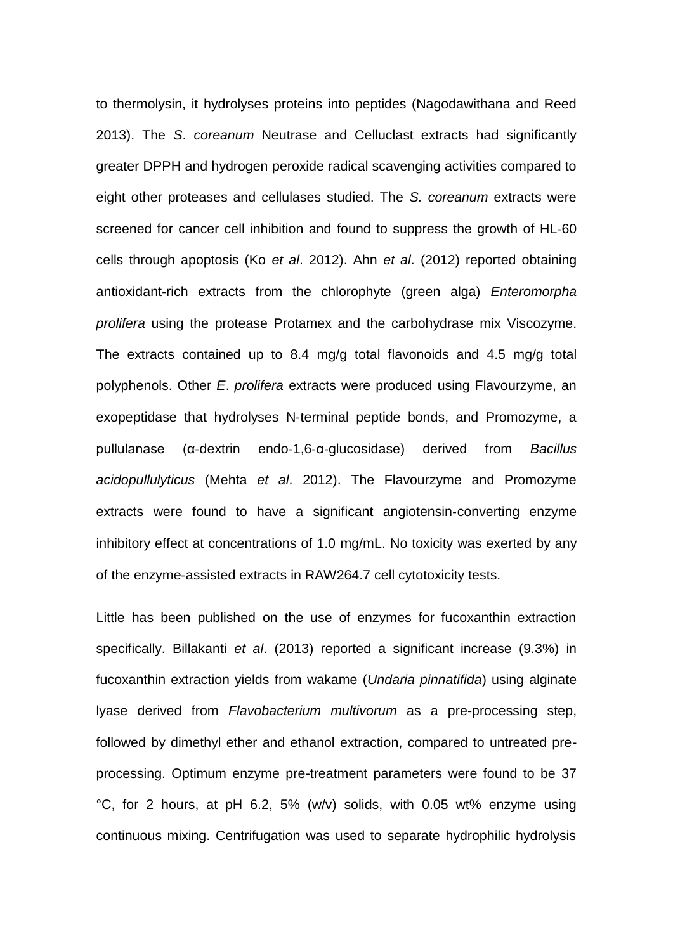to thermolysin, it hydrolyses proteins into peptides (Nagodawithana and Reed 2013). The *S*. *coreanum* Neutrase and Celluclast extracts had significantly greater DPPH and hydrogen peroxide radical scavenging activities compared to eight other proteases and cellulases studied. The *S. coreanum* extracts were screened for cancer cell inhibition and found to suppress the growth of HL‐60 cells through apoptosis (Ko *et al*. 2012). Ahn *et al*. (2012) reported obtaining antioxidant‐rich extracts from the chlorophyte (green alga) *Enteromorpha prolifera* using the protease Protamex and the carbohydrase mix Viscozyme. The extracts contained up to 8.4 mg/g total flavonoids and 4.5 mg/g total polyphenols. Other *E*. *prolifera* extracts were produced using Flavourzyme, an exopeptidase that hydrolyses N-terminal peptide bonds, and Promozyme, a pullulanase (α‐dextrin endo‐1,6‐α‐glucosidase) derived from *Bacillus acidopullulyticus* (Mehta *et al*. 2012). The Flavourzyme and Promozyme extracts were found to have a significant angiotensin‐converting enzyme inhibitory effect at concentrations of 1.0 mg/mL. No toxicity was exerted by any of the enzyme‐assisted extracts in RAW264.7 cell cytotoxicity tests.

Little has been published on the use of enzymes for fucoxanthin extraction specifically. Billakanti *et al*. (2013) reported a significant increase (9.3%) in fucoxanthin extraction yields from wakame (*Undaria pinnatifida*) using alginate lyase derived from *Flavobacterium multivorum* as a pre-processing step, followed by dimethyl ether and ethanol extraction, compared to untreated preprocessing. Optimum enzyme pre-treatment parameters were found to be 37 °C, for 2 hours, at pH 6.2, 5% (w/v) solids, with 0.05 wt% enzyme using continuous mixing. Centrifugation was used to separate hydrophilic hydrolysis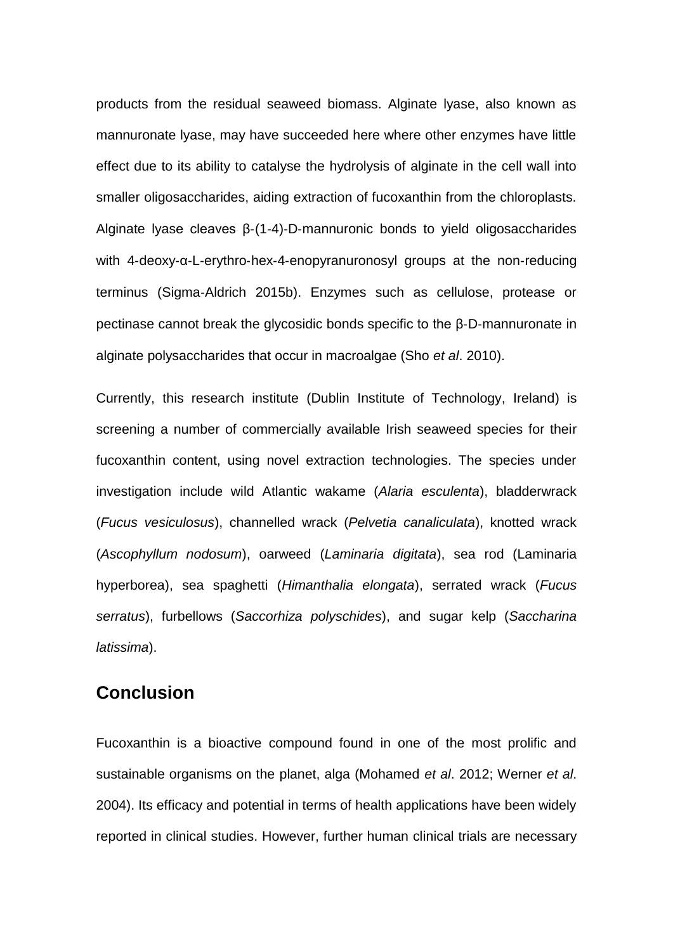products from the residual seaweed biomass. Alginate lyase, also known as mannuronate lyase, may have succeeded here where other enzymes have little effect due to its ability to catalyse the hydrolysis of alginate in the cell wall into smaller oligosaccharides, aiding extraction of fucoxanthin from the chloroplasts. Alginate lyase cleaves β‐(1‐4)‐D‐mannuronic bonds to yield oligosaccharides with 4-deoxy-α-L-erythro-hex-4-enopyranuronosyl groups at the non-reducing terminus (Sigma‐Aldrich 2015b). Enzymes such as cellulose, protease or pectinase cannot break the glycosidic bonds specific to the β‐D‐mannuronate in alginate polysaccharides that occur in macroalgae (Sho *et al*. 2010).

Currently, this research institute (Dublin Institute of Technology, Ireland) is screening a number of commercially available Irish seaweed species for their fucoxanthin content, using novel extraction technologies. The species under investigation include wild Atlantic wakame (*Alaria esculenta*), bladderwrack (*Fucus vesiculosus*), channelled wrack (*Pelvetia canaliculata*), knotted wrack (*Ascophyllum nodosum*), oarweed (*Laminaria digitata*), sea rod (Laminaria hyperborea), sea spaghetti (*Himanthalia elongata*), serrated wrack (*Fucus serratus*), furbellows (*Saccorhiza polyschides*), and sugar kelp (*Saccharina latissima*).

## **Conclusion**

Fucoxanthin is a bioactive compound found in one of the most prolific and sustainable organisms on the planet, alga (Mohamed *et al*. 2012; Werner *et al*. 2004). Its efficacy and potential in terms of health applications have been widely reported in clinical studies. However, further human clinical trials are necessary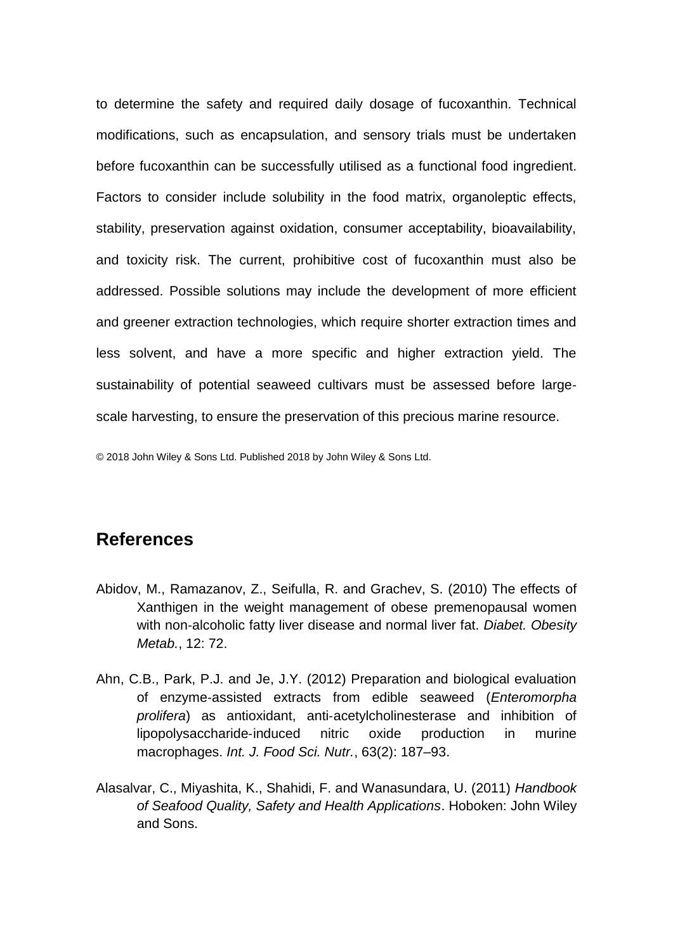to determine the safety and required daily dosage of fucoxanthin. Technical modifications, such as encapsulation, and sensory trials must be undertaken before fucoxanthin can be successfully utilised as a functional food ingredient. Factors to consider include solubility in the food matrix, organoleptic effects, stability, preservation against oxidation, consumer acceptability, bioavailability, and toxicity risk. The current, prohibitive cost of fucoxanthin must also be addressed. Possible solutions may include the development of more efficient and greener extraction technologies, which require shorter extraction times and less solvent, and have a more specific and higher extraction yield. The sustainability of potential seaweed cultivars must be assessed before large‐ scale harvesting, to ensure the preservation of this precious marine resource.

© 2018 John Wiley & Sons Ltd. Published 2018 by John Wiley & Sons Ltd.

## **References**

- Abidov, M., Ramazanov, Z., Seifulla, R. and Grachev, S. (2010) The effects of Xanthigen in the weight management of obese premenopausal women with non‐alcoholic fatty liver disease and normal liver fat. *Diabet. Obesity Metab.*, 12: 72.
- Ahn, C.B., Park, P.J. and Je, J.Y. (2012) Preparation and biological evaluation of enzyme‐assisted extracts from edible seaweed (*Enteromorpha prolifera*) as antioxidant, anti‐acetylcholinesterase and inhibition of lipopolysaccharide‐induced nitric oxide production in murine macrophages. *Int. J. Food Sci. Nutr.*, 63(2): 187–93.
- Alasalvar, C., Miyashita, K., Shahidi, F. and Wanasundara, U. (2011) *Handbook of Seafood Quality, Safety and Health Applications*. Hoboken: John Wiley and Sons.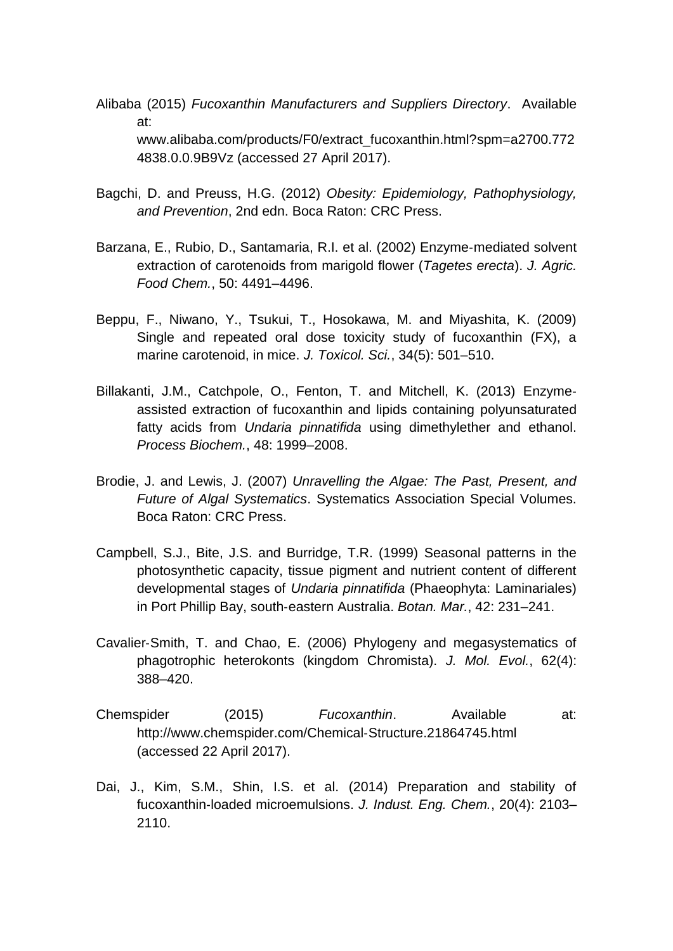Alibaba (2015) *Fucoxanthin Manufacturers and Suppliers Directory*. Available at: www.alibaba.com/products/F0/extract\_fucoxanthin.html?spm=a2700.772 4838.0.0.9B9Vz (accessed 27 April 2017).

- Bagchi, D. and Preuss, H.G. (2012) *Obesity: Epidemiology, Pathophysiology, and Prevention*, 2nd edn. Boca Raton: CRC Press.
- Barzana, E., Rubio, D., Santamaria, R.I. et al. (2002) Enzyme‐mediated solvent extraction of carotenoids from marigold flower (*Tagetes erecta*). *J. Agric. Food Chem.*, 50: 4491–4496.
- Beppu, F., Niwano, Y., Tsukui, T., Hosokawa, M. and Miyashita, K. (2009) Single and repeated oral dose toxicity study of fucoxanthin (FX), a marine carotenoid, in mice. *J. Toxicol. Sci.*, 34(5): 501–510.
- Billakanti, J.M., Catchpole, O., Fenton, T. and Mitchell, K. (2013) Enzyme‐ assisted extraction of fucoxanthin and lipids containing polyunsaturated fatty acids from *Undaria pinnatifida* using dimethylether and ethanol. *Process Biochem.*, 48: 1999–2008.
- Brodie, J. and Lewis, J. (2007) *Unravelling the Algae: The Past, Present, and Future of Algal Systematics*. Systematics Association Special Volumes. Boca Raton: CRC Press.
- Campbell, S.J., Bite, J.S. and Burridge, T.R. (1999) Seasonal patterns in the photosynthetic capacity, tissue pigment and nutrient content of different developmental stages of *Undaria pinnatifida* (Phaeophyta: Laminariales) in Port Phillip Bay, south‐eastern Australia. *Botan. Mar.*, 42: 231–241.
- Cavalier‐Smith, T. and Chao, E. (2006) Phylogeny and megasystematics of phagotrophic heterokonts (kingdom Chromista). *J. Mol. Evol.*, 62(4): 388–420.
- Chemspider (2015) *Fucoxanthin*. Available at: http://www.chemspider.com/Chemical‐Structure.21864745.html (accessed 22 April 2017).
- Dai, J., Kim, S.M., Shin, I.S. et al. (2014) Preparation and stability of fucoxanthin‐loaded microemulsions. *J. Indust. Eng. Chem.*, 20(4): 2103– 2110.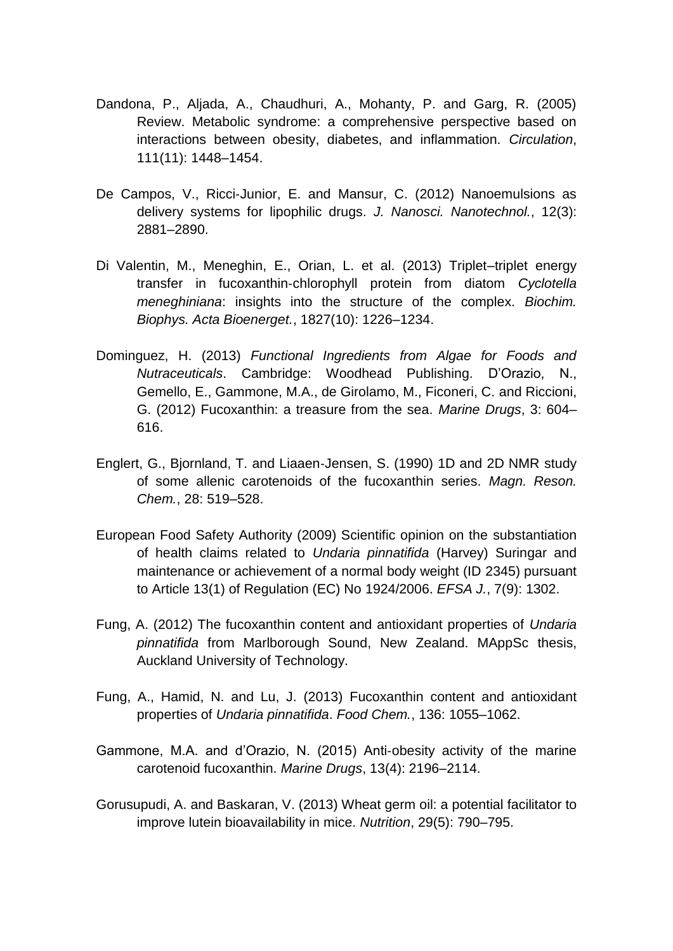- Dandona, P., Aljada, A., Chaudhuri, A., Mohanty, P. and Garg, R. (2005) Review. Metabolic syndrome: a comprehensive perspective based on interactions between obesity, diabetes, and inflammation. *Circulation*, 111(11): 1448–1454.
- De Campos, V., Ricci-Junior, E. and Mansur, C. (2012) Nanoemulsions as delivery systems for lipophilic drugs. *J. Nanosci. Nanotechnol.*, 12(3): 2881–2890.
- Di Valentin, M., Meneghin, E., Orian, L. et al. (2013) Triplet–triplet energy transfer in fucoxanthin‐chlorophyll protein from diatom *Cyclotella meneghiniana*: insights into the structure of the complex. *Biochim. Biophys. Acta Bioenerget.*, 1827(10): 1226–1234.
- Dominguez, H. (2013) *Functional Ingredients from Algae for Foods and Nutraceuticals*. Cambridge: Woodhead Publishing. D'Orazio, N., Gemello, E., Gammone, M.A., de Girolamo, M., Ficoneri, C. and Riccioni, G. (2012) Fucoxanthin: a treasure from the sea. *Marine Drugs*, 3: 604– 616.
- Englert, G., Bjornland, T. and Liaaen‐Jensen, S. (1990) 1D and 2D NMR study of some allenic carotenoids of the fucoxanthin series. *Magn. Reson. Chem.*, 28: 519–528.
- European Food Safety Authority (2009) Scientific opinion on the substantiation of health claims related to *Undaria pinnatifida* (Harvey) Suringar and maintenance or achievement of a normal body weight (ID 2345) pursuant to Article 13(1) of Regulation (EC) No 1924/2006. *EFSA J.*, 7(9): 1302.
- Fung, A. (2012) The fucoxanthin content and antioxidant properties of *Undaria pinnatifida* from Marlborough Sound, New Zealand. MAppSc thesis, Auckland University of Technology.
- Fung, A., Hamid, N. and Lu, J. (2013) Fucoxanthin content and antioxidant properties of *Undaria pinnatifida*. *Food Chem.*, 136: 1055–1062.
- Gammone, M.A. and d'Orazio, N. (2015) Anti‐obesity activity of the marine carotenoid fucoxanthin. *Marine Drugs*, 13(4): 2196–2114.
- Gorusupudi, A. and Baskaran, V. (2013) Wheat germ oil: a potential facilitator to improve lutein bioavailability in mice. *Nutrition*, 29(5): 790–795.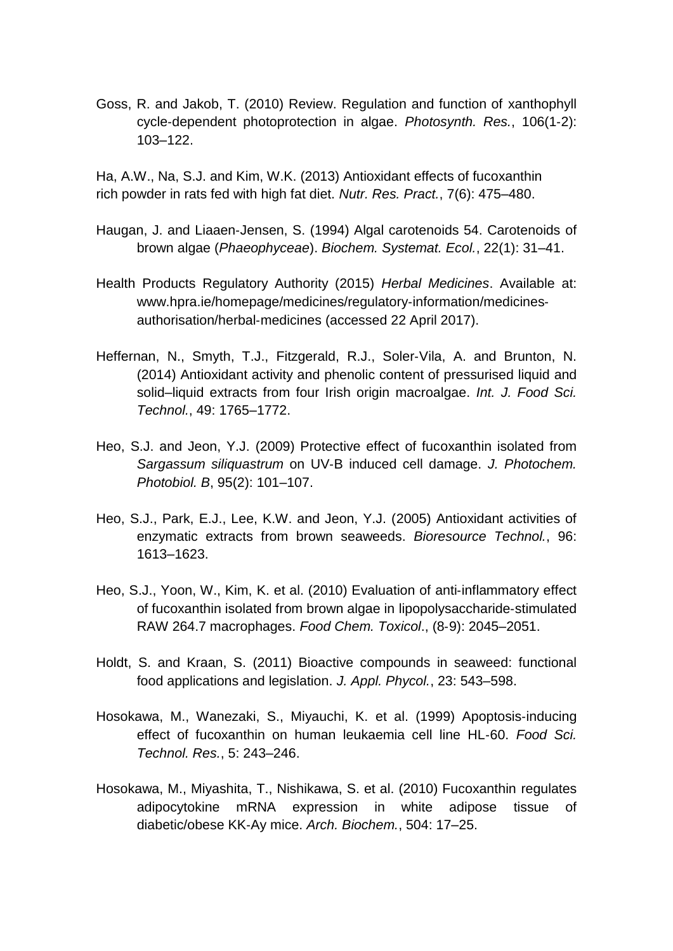Goss, R. and Jakob, T. (2010) Review. Regulation and function of xanthophyll cycle‐dependent photoprotection in algae. *Photosynth. Res.*, 106(1‐2): 103–122.

Ha, A.W., Na, S.J. and Kim, W.K. (2013) Antioxidant effects of fucoxanthin rich powder in rats fed with high fat diet. *Nutr. Res. Pract.*, 7(6): 475–480.

- Haugan, J. and Liaaen‐Jensen, S. (1994) Algal carotenoids 54. Carotenoids of brown algae (*Phaeophyceae*). *Biochem. Systemat. Ecol.*, 22(1): 31–41.
- Health Products Regulatory Authority (2015) *Herbal Medicines*. Available at: www.hpra.ie/homepage/medicines/regulatory-information/medicinesauthorisation/herbal‐medicines (accessed 22 April 2017).
- Heffernan, N., Smyth, T.J., Fitzgerald, R.J., Soler‐Vila, A. and Brunton, N. (2014) Antioxidant activity and phenolic content of pressurised liquid and solid–liquid extracts from four Irish origin macroalgae. *Int. J. Food Sci. Technol.*, 49: 1765–1772.
- Heo, S.J. and Jeon, Y.J. (2009) Protective effect of fucoxanthin isolated from *Sargassum siliquastrum* on UV‐B induced cell damage. *J. Photochem. Photobiol. B*, 95(2): 101–107.
- Heo, S.J., Park, E.J., Lee, K.W. and Jeon, Y.J. (2005) Antioxidant activities of enzymatic extracts from brown seaweeds. *Bioresource Technol.*, 96: 1613–1623.
- Heo, S.J., Yoon, W., Kim, K. et al. (2010) Evaluation of anti-inflammatory effect of fucoxanthin isolated from brown algae in lipopolysaccharide‐stimulated RAW 264.7 macrophages. *Food Chem. Toxicol*., (8‐9): 2045–2051.
- Holdt, S. and Kraan, S. (2011) Bioactive compounds in seaweed: functional food applications and legislation. *J. Appl. Phycol.*, 23: 543–598.
- Hosokawa, M., Wanezaki, S., Miyauchi, K. et al. (1999) Apoptosis‐inducing effect of fucoxanthin on human leukaemia cell line HL‐60. *Food Sci. Technol. Res.*, 5: 243–246.
- Hosokawa, M., Miyashita, T., Nishikawa, S. et al. (2010) Fucoxanthin regulates adipocytokine mRNA expression in white adipose tissue of diabetic/obese KK‐Ay mice. *Arch. Biochem.*, 504: 17–25.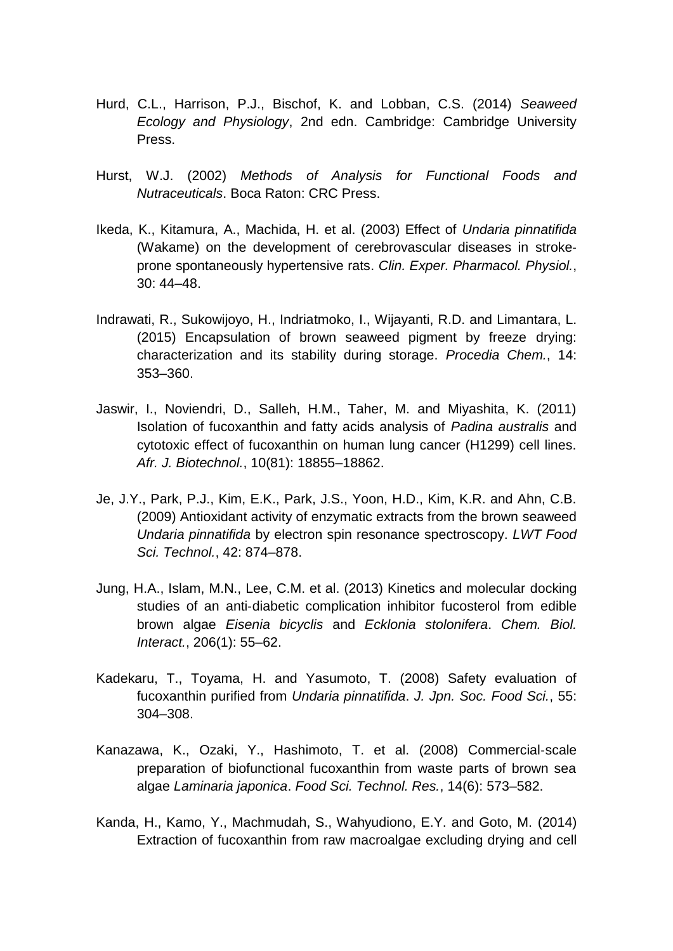- Hurd, C.L., Harrison, P.J., Bischof, K. and Lobban, C.S. (2014) *Seaweed Ecology and Physiology*, 2nd edn. Cambridge: Cambridge University Press.
- Hurst, W.J. (2002) *Methods of Analysis for Functional Foods and Nutraceuticals*. Boca Raton: CRC Press.
- Ikeda, K., Kitamura, A., Machida, H. et al. (2003) Effect of *Undaria pinnatifida*  (Wakame) on the development of cerebrovascular diseases in stroke‐ prone spontaneously hypertensive rats. *Clin. Exper. Pharmacol. Physiol.*, 30: 44–48.
- Indrawati, R., Sukowijoyo, H., Indriatmoko, I., Wijayanti, R.D. and Limantara, L. (2015) Encapsulation of brown seaweed pigment by freeze drying: characterization and its stability during storage. *Procedia Chem.*, 14: 353–360.
- Jaswir, I., Noviendri, D., Salleh, H.M., Taher, M. and Miyashita, K. (2011) Isolation of fucoxanthin and fatty acids analysis of *Padina australis* and cytotoxic effect of fucoxanthin on human lung cancer (H1299) cell lines. *Afr. J. Biotechnol.*, 10(81): 18855–18862.
- Je, J.Y., Park, P.J., Kim, E.K., Park, J.S., Yoon, H.D., Kim, K.R. and Ahn, C.B. (2009) Antioxidant activity of enzymatic extracts from the brown seaweed *Undaria pinnatifida* by electron spin resonance spectroscopy. *LWT Food Sci. Technol.*, 42: 874–878.
- Jung, H.A., Islam, M.N., Lee, C.M. et al. (2013) Kinetics and molecular docking studies of an anti-diabetic complication inhibitor fucosterol from edible brown algae *Eisenia bicyclis* and *Ecklonia stolonifera*. *Chem. Biol. Interact.*, 206(1): 55–62.
- Kadekaru, T., Toyama, H. and Yasumoto, T. (2008) Safety evaluation of fucoxanthin purified from *Undaria pinnatifida*. *J. Jpn. Soc. Food Sci.*, 55: 304–308.
- Kanazawa, K., Ozaki, Y., Hashimoto, T. et al. (2008) Commercial‐scale preparation of biofunctional fucoxanthin from waste parts of brown sea algae *Laminaria japonica*. *Food Sci. Technol. Res.*, 14(6): 573–582.
- Kanda, H., Kamo, Y., Machmudah, S., Wahyudiono, E.Y. and Goto, M. (2014) Extraction of fucoxanthin from raw macroalgae excluding drying and cell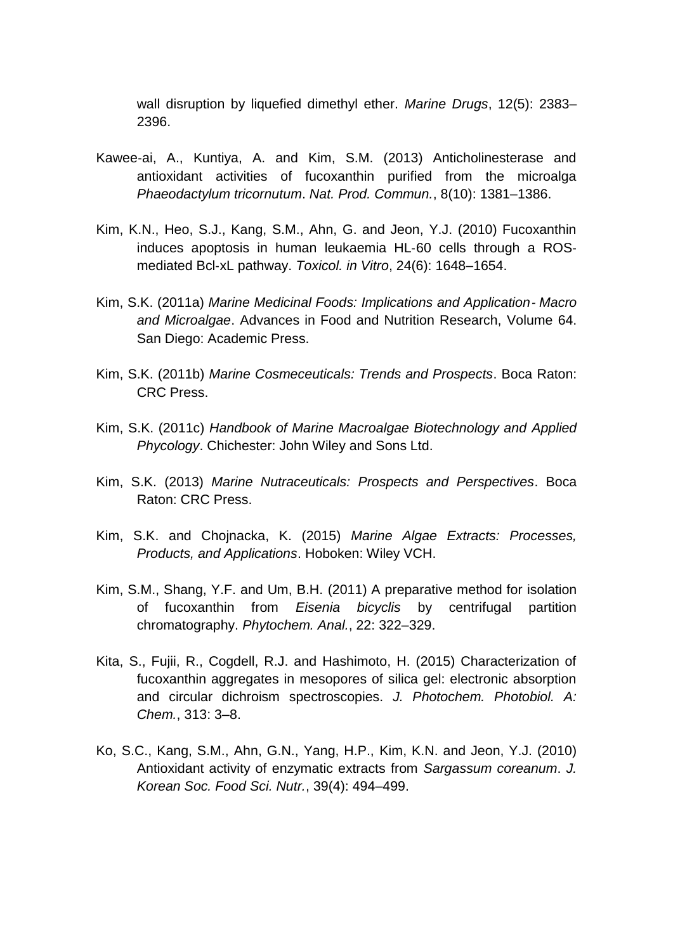wall disruption by liquefied dimethyl ether. *Marine Drugs*, 12(5): 2383– 2396.

- Kawee‐ai, A., Kuntiya, A. and Kim, S.M. (2013) Anticholinesterase and antioxidant activities of fucoxanthin purified from the microalga *Phaeodactylum tricornutum*. *Nat. Prod. Commun.*, 8(10): 1381–1386.
- Kim, K.N., Heo, S.J., Kang, S.M., Ahn, G. and Jeon, Y.J. (2010) Fucoxanthin induces apoptosis in human leukaemia HL‐60 cells through a ROS‐ mediated Bcl‐xL pathway. *Toxicol. in Vitro*, 24(6): 1648–1654.
- Kim, S.K. (2011a) *Marine Medicinal Foods: Implications and Application*‐ *Macro and Microalgae*. Advances in Food and Nutrition Research, Volume 64. San Diego: Academic Press.
- Kim, S.K. (2011b) *Marine Cosmeceuticals: Trends and Prospects*. Boca Raton: CRC Press.
- Kim, S.K. (2011c) *Handbook of Marine Macroalgae Biotechnology and Applied Phycology*. Chichester: John Wiley and Sons Ltd.
- Kim, S.K. (2013) *Marine Nutraceuticals: Prospects and Perspectives*. Boca Raton: CRC Press.
- Kim, S.K. and Chojnacka, K. (2015) *Marine Algae Extracts: Processes, Products, and Applications*. Hoboken: Wiley VCH.
- Kim, S.M., Shang, Y.F. and Um, B.H. (2011) A preparative method for isolation of fucoxanthin from *Eisenia bicyclis* by centrifugal partition chromatography. *Phytochem. Anal.*, 22: 322–329.
- Kita, S., Fujii, R., Cogdell, R.J. and Hashimoto, H. (2015) Characterization of fucoxanthin aggregates in mesopores of silica gel: electronic absorption and circular dichroism spectroscopies. *J. Photochem. Photobiol. A: Chem.*, 313: 3–8.
- Ko, S.C., Kang, S.M., Ahn, G.N., Yang, H.P., Kim, K.N. and Jeon, Y.J. (2010) Antioxidant activity of enzymatic extracts from *Sargassum coreanum*. *J. Korean Soc. Food Sci. Nutr.*, 39(4): 494–499.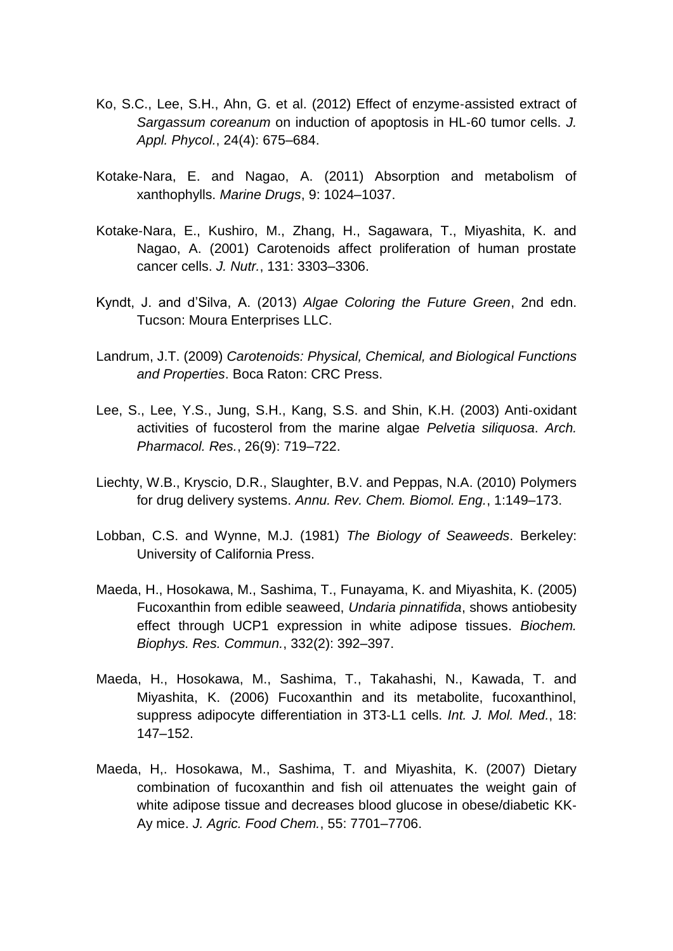- Ko, S.C., Lee, S.H., Ahn, G. et al. (2012) Effect of enzyme‐assisted extract of *Sargassum coreanum* on induction of apoptosis in HL‐60 tumor cells. *J. Appl. Phycol.*, 24(4): 675–684.
- Kotake‐Nara, E. and Nagao, A. (2011) Absorption and metabolism of xanthophylls. *Marine Drugs*, 9: 1024–1037.
- Kotake‐Nara, E., Kushiro, M., Zhang, H., Sagawara, T., Miyashita, K. and Nagao, A. (2001) Carotenoids affect proliferation of human prostate cancer cells. *J. Nutr.*, 131: 3303–3306.
- Kyndt, J. and d'Silva, A. (2013) *Algae Coloring the Future Green*, 2nd edn. Tucson: Moura Enterprises LLC.
- Landrum, J.T. (2009) *Carotenoids: Physical, Chemical, and Biological Functions and Properties*. Boca Raton: CRC Press.
- Lee, S., Lee, Y.S., Jung, S.H., Kang, S.S. and Shin, K.H. (2003) Anti‐oxidant activities of fucosterol from the marine algae *Pelvetia siliquosa*. *Arch. Pharmacol. Res.*, 26(9): 719–722.
- Liechty, W.B., Kryscio, D.R., Slaughter, B.V. and Peppas, N.A. (2010) Polymers for drug delivery systems. *Annu. Rev. Chem. Biomol. Eng.*, 1:149–173.
- Lobban, C.S. and Wynne, M.J. (1981) *The Biology of Seaweeds*. Berkeley: University of California Press.
- Maeda, H., Hosokawa, M., Sashima, T., Funayama, K. and Miyashita, K. (2005) Fucoxanthin from edible seaweed, *Undaria pinnatifida*, shows antiobesity effect through UCP1 expression in white adipose tissues. *Biochem. Biophys. Res. Commun.*, 332(2): 392–397.
- Maeda, H., Hosokawa, M., Sashima, T., Takahashi, N., Kawada, T. and Miyashita, K. (2006) Fucoxanthin and its metabolite, fucoxanthinol, suppress adipocyte differentiation in 3T3‐L1 cells. *Int. J. Mol. Med.*, 18: 147–152.
- Maeda, H,. Hosokawa, M., Sashima, T. and Miyashita, K. (2007) Dietary combination of fucoxanthin and fish oil attenuates the weight gain of white adipose tissue and decreases blood glucose in obese/diabetic KK‐ Ay mice. *J. Agric. Food Chem.*, 55: 7701–7706.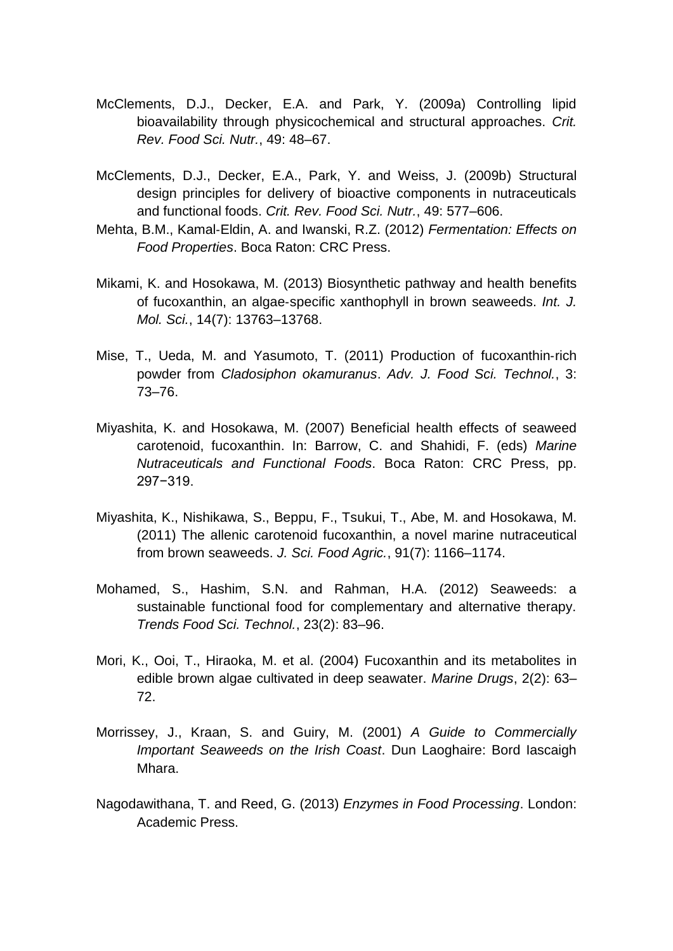- McClements, D.J., Decker, E.A. and Park, Y. (2009a) Controlling lipid bioavailability through physicochemical and structural approaches. *Crit. Rev. Food Sci. Nutr.*, 49: 48–67.
- McClements, D.J., Decker, E.A., Park, Y. and Weiss, J. (2009b) Structural design principles for delivery of bioactive components in nutraceuticals and functional foods. *Crit. Rev. Food Sci. Nutr.*, 49: 577–606.
- Mehta, B.M., Kamal‐Eldin, A. and Iwanski, R.Z. (2012) *Fermentation: Effects on Food Properties*. Boca Raton: CRC Press.
- Mikami, K. and Hosokawa, M. (2013) Biosynthetic pathway and health benefits of fucoxanthin, an algae‐specific xanthophyll in brown seaweeds. *Int. J. Mol. Sci.*, 14(7): 13763–13768.
- Mise, T., Ueda, M. and Yasumoto, T. (2011) Production of fucoxanthin‐rich powder from *Cladosiphon okamuranus*. *Adv. J. Food Sci. Technol.*, 3: 73–76.
- Miyashita, K. and Hosokawa, M. (2007) Beneficial health effects of seaweed carotenoid, fucoxanthin. In: Barrow, C. and Shahidi, F. (eds) *Marine Nutraceuticals and Functional Foods*. Boca Raton: CRC Press, pp. 297−319.
- Miyashita, K., Nishikawa, S., Beppu, F., Tsukui, T., Abe, M. and Hosokawa, M. (2011) The allenic carotenoid fucoxanthin, a novel marine nutraceutical from brown seaweeds. *J. Sci. Food Agric.*, 91(7): 1166–1174.
- Mohamed, S., Hashim, S.N. and Rahman, H.A. (2012) Seaweeds: a sustainable functional food for complementary and alternative therapy. *Trends Food Sci. Technol.*, 23(2): 83–96.
- Mori, K., Ooi, T., Hiraoka, M. et al. (2004) Fucoxanthin and its metabolites in edible brown algae cultivated in deep seawater. *Marine Drugs*, 2(2): 63– 72.
- Morrissey, J., Kraan, S. and Guiry, M. (2001) *A Guide to Commercially Important Seaweeds on the Irish Coast*. Dun Laoghaire: Bord Iascaigh Mhara.
- Nagodawithana, T. and Reed, G. (2013) *Enzymes in Food Processing*. London: Academic Press.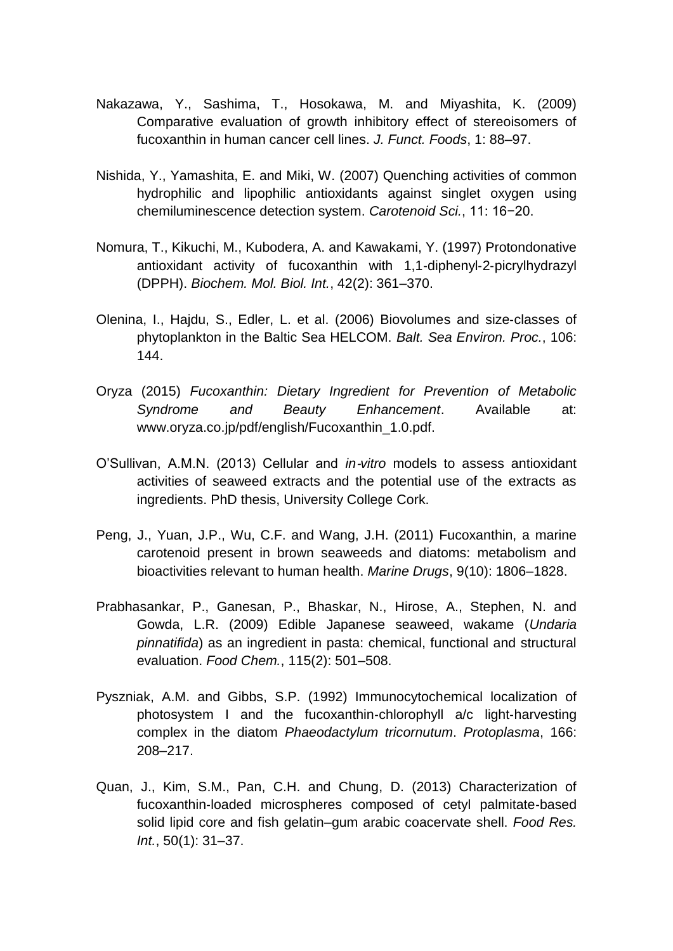- Nakazawa, Y., Sashima, T., Hosokawa, M. and Miyashita, K. (2009) Comparative evaluation of growth inhibitory effect of stereoisomers of fucoxanthin in human cancer cell lines. *J. Funct. Foods*, 1: 88–97.
- Nishida, Y., Yamashita, E. and Miki, W. (2007) Quenching activities of common hydrophilic and lipophilic antioxidants against singlet oxygen using chemiluminescence detection system. *Carotenoid Sci.*, 11: 16−20.
- Nomura, T., Kikuchi, M., Kubodera, A. and Kawakami, Y. (1997) Protondonative antioxidant activity of fucoxanthin with 1,1‐diphenyl‐2‐picrylhydrazyl (DPPH). *Biochem. Mol. Biol. Int.*, 42(2): 361–370.
- Olenina, I., Hajdu, S., Edler, L. et al. (2006) Biovolumes and size‐classes of phytoplankton in the Baltic Sea HELCOM. *Balt. Sea Environ. Proc.*, 106: 144.
- Oryza (2015) *Fucoxanthin: Dietary Ingredient for Prevention of Metabolic Syndrome and Beauty Enhancement*. Available at: www.oryza.co.jp/pdf/english/Fucoxanthin\_1.0.pdf.
- O'Sullivan, A.M.N. (2013) Cellular and *in*‐*vitro* models to assess antioxidant activities of seaweed extracts and the potential use of the extracts as ingredients. PhD thesis, University College Cork.
- Peng, J., Yuan, J.P., Wu, C.F. and Wang, J.H. (2011) Fucoxanthin, a marine carotenoid present in brown seaweeds and diatoms: metabolism and bioactivities relevant to human health. *Marine Drugs*, 9(10): 1806–1828.
- Prabhasankar, P., Ganesan, P., Bhaskar, N., Hirose, A., Stephen, N. and Gowda, L.R. (2009) Edible Japanese seaweed, wakame (*Undaria pinnatifida*) as an ingredient in pasta: chemical, functional and structural evaluation. *Food Chem.*, 115(2): 501–508.
- Pyszniak, A.M. and Gibbs, S.P. (1992) Immunocytochemical localization of photosystem I and the fucoxanthin‐chlorophyll a/c light‐harvesting complex in the diatom *Phaeodactylum tricornutum*. *Protoplasma*, 166: 208–217.
- Quan, J., Kim, S.M., Pan, C.H. and Chung, D. (2013) Characterization of fucoxanthin‐loaded microspheres composed of cetyl palmitate‐based solid lipid core and fish gelatin–gum arabic coacervate shell. *Food Res. Int.*, 50(1): 31–37.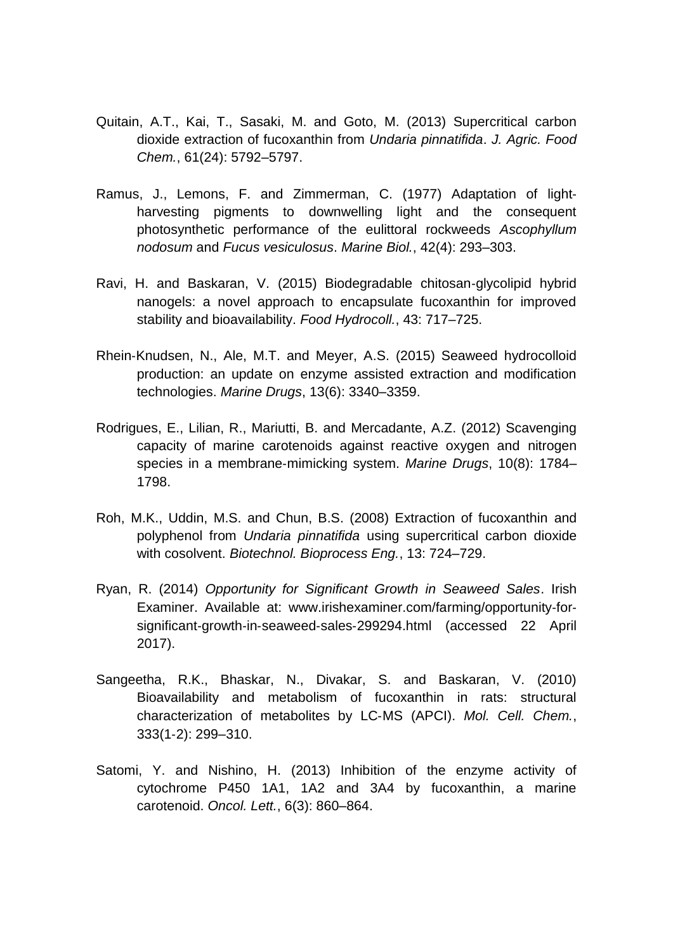- Quitain, A.T., Kai, T., Sasaki, M. and Goto, M. (2013) Supercritical carbon dioxide extraction of fucoxanthin from *Undaria pinnatifida*. *J. Agric. Food Chem.*, 61(24): 5792–5797.
- Ramus, J., Lemons, F. and Zimmerman, C. (1977) Adaptation of light‐ harvesting pigments to downwelling light and the consequent photosynthetic performance of the eulittoral rockweeds *Ascophyllum nodosum* and *Fucus vesiculosus*. *Marine Biol.*, 42(4): 293–303.
- Ravi, H. and Baskaran, V. (2015) Biodegradable chitosan‐glycolipid hybrid nanogels: a novel approach to encapsulate fucoxanthin for improved stability and bioavailability. *Food Hydrocoll.*, 43: 717–725.
- Rhein‐Knudsen, N., Ale, M.T. and Meyer, A.S. (2015) Seaweed hydrocolloid production: an update on enzyme assisted extraction and modification technologies. *Marine Drugs*, 13(6): 3340–3359.
- Rodrigues, E., Lilian, R., Mariutti, B. and Mercadante, A.Z. (2012) Scavenging capacity of marine carotenoids against reactive oxygen and nitrogen species in a membrane‐mimicking system. *Marine Drugs*, 10(8): 1784– 1798.
- Roh, M.K., Uddin, M.S. and Chun, B.S. (2008) Extraction of fucoxanthin and polyphenol from *Undaria pinnatifida* using supercritical carbon dioxide with cosolvent. *Biotechnol. Bioprocess Eng.*, 13: 724–729.
- Ryan, R. (2014) *Opportunity for Significant Growth in Seaweed Sales*. Irish Examiner. Available at: www.irishexaminer.com/farming/opportunity‐for‐ significant-growth-in-seaweed-sales-299294.html (accessed 22 April 2017).
- Sangeetha, R.K., Bhaskar, N., Divakar, S. and Baskaran, V. (2010) Bioavailability and metabolism of fucoxanthin in rats: structural characterization of metabolites by LC‐MS (APCI). *Mol. Cell. Chem.*, 333(1‐2): 299–310.
- Satomi, Y. and Nishino, H. (2013) Inhibition of the enzyme activity of cytochrome P450 1A1, 1A2 and 3A4 by fucoxanthin, a marine carotenoid. *Oncol. Lett.*, 6(3): 860–864.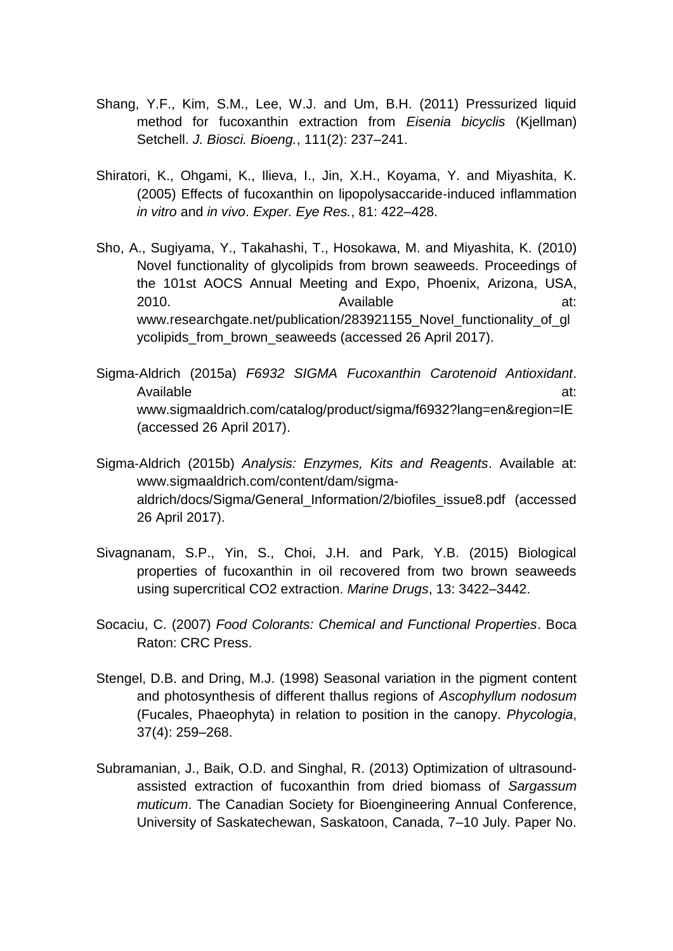- Shang, Y.F., Kim, S.M., Lee, W.J. and Um, B.H. (2011) Pressurized liquid method for fucoxanthin extraction from *Eisenia bicyclis* (Kjellman) Setchell. *J. Biosci. Bioeng.*, 111(2): 237–241.
- Shiratori, K., Ohgami, K., Ilieva, I., Jin, X.H., Koyama, Y. and Miyashita, K. (2005) Effects of fucoxanthin on lipopolysaccaride‐induced inflammation *in vitro* and *in vivo*. *Exper. Eye Res.*, 81: 422–428.
- Sho, A., Sugiyama, Y., Takahashi, T., Hosokawa, M. and Miyashita, K. (2010) Novel functionality of glycolipids from brown seaweeds. Proceedings of the 101st AOCS Annual Meeting and Expo, Phoenix, Arizona, USA, 2010. Available at: www.researchgate.net/publication/283921155 Novel functionality of gl ycolipids\_from\_brown\_seaweeds (accessed 26 April 2017).
- Sigma‐Aldrich (2015a) *F6932 SIGMA Fucoxanthin Carotenoid Antioxidant*. Available at: and a strategies at: and a strategies at: and a strategies at: and a strategies at: and a strategies at: and a strategies at: and a strategies at: and a strategies at: and a strategies at: and a strategies at www.sigmaaldrich.com/catalog/product/sigma/f6932?lang=en&region=IE (accessed 26 April 2017).
- Sigma‐Aldrich (2015b) *Analysis: Enzymes, Kits and Reagents*. Available at: www.sigmaaldrich.com/content/dam/sigmaaldrich/docs/Sigma/General\_Information/2/biofiles\_issue8.pdf (accessed 26 April 2017).
- Sivagnanam, S.P., Yin, S., Choi, J.H. and Park, Y.B. (2015) Biological properties of fucoxanthin in oil recovered from two brown seaweeds using supercritical CO2 extraction. *Marine Drugs*, 13: 3422–3442.
- Socaciu, C. (2007) *Food Colorants: Chemical and Functional Properties*. Boca Raton: CRC Press.
- Stengel, D.B. and Dring, M.J. (1998) Seasonal variation in the pigment content and photosynthesis of different thallus regions of *Ascophyllum nodosum*  (Fucales, Phaeophyta) in relation to position in the canopy. *Phycologia*, 37(4): 259–268.
- Subramanian, J., Baik, O.D. and Singhal, R. (2013) Optimization of ultrasound‐ assisted extraction of fucoxanthin from dried biomass of *Sargassum muticum*. The Canadian Society for Bioengineering Annual Conference, University of Saskatechewan, Saskatoon, Canada, 7–10 July. Paper No.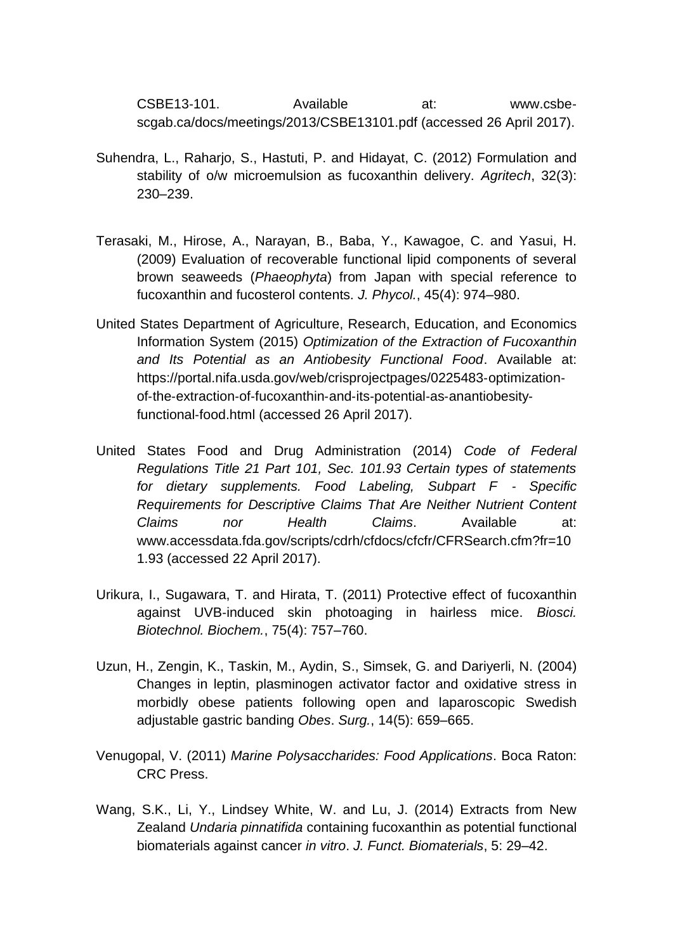CSBE13‐101. Available at: www.csbe‐ scgab.ca/docs/meetings/2013/CSBE13101.pdf (accessed 26 April 2017).

- Suhendra, L., Raharjo, S., Hastuti, P. and Hidayat, C. (2012) Formulation and stability of o/w microemulsion as fucoxanthin delivery. *Agritech*, 32(3): 230–239.
- Terasaki, M., Hirose, A., Narayan, B., Baba, Y., Kawagoe, C. and Yasui, H. (2009) Evaluation of recoverable functional lipid components of several brown seaweeds (*Phaeophyta*) from Japan with special reference to fucoxanthin and fucosterol contents. *J. Phycol.*, 45(4): 974–980.
- United States Department of Agriculture, Research, Education, and Economics Information System (2015) *Optimization of the Extraction of Fucoxanthin and Its Potential as an Antiobesity Functional Food*. Available at: https://portal.nifa.usda.gov/web/crisprojectpages/0225483-optimizationof‐the‐extraction‐of‐fucoxanthin‐and‐its‐potential‐as‐anantiobesity‐ functional‐food.html (accessed 26 April 2017).
- United States Food and Drug Administration (2014) *Code of Federal Regulations Title 21 Part 101, Sec. 101.93 Certain types of statements for dietary supplements. Food Labeling, Subpart F* ‐ *Specific Requirements for Descriptive Claims That Are Neither Nutrient Content Claims nor Health Claims*. Available at: www.accessdata.fda.gov/scripts/cdrh/cfdocs/cfcfr/CFRSearch.cfm?fr=10 1.93 (accessed 22 April 2017).
- Urikura, I., Sugawara, T. and Hirata, T. (2011) Protective effect of fucoxanthin against UVB‐induced skin photoaging in hairless mice. *Biosci. Biotechnol. Biochem.*, 75(4): 757–760.
- Uzun, H., Zengin, K., Taskin, M., Aydin, S., Simsek, G. and Dariyerli, N. (2004) Changes in leptin, plasminogen activator factor and oxidative stress in morbidly obese patients following open and laparoscopic Swedish adjustable gastric banding *Obes*. *Surg.*, 14(5): 659–665.
- Venugopal, V. (2011) *Marine Polysaccharides: Food Applications*. Boca Raton: CRC Press.
- Wang, S.K., Li, Y., Lindsey White, W. and Lu, J. (2014) Extracts from New Zealand *Undaria pinnatifida* containing fucoxanthin as potential functional biomaterials against cancer *in vitro*. *J. Funct. Biomaterials*, 5: 29–42.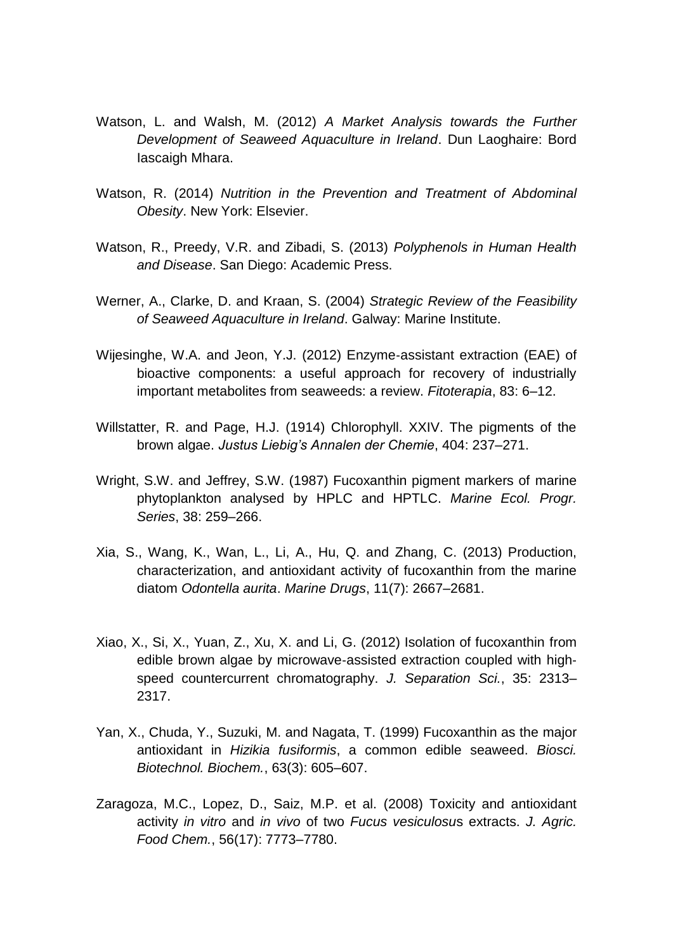- Watson, L. and Walsh, M. (2012) *A Market Analysis towards the Further Development of Seaweed Aquaculture in Ireland*. Dun Laoghaire: Bord Iascaigh Mhara.
- Watson, R. (2014) *Nutrition in the Prevention and Treatment of Abdominal Obesity*. New York: Elsevier.
- Watson, R., Preedy, V.R. and Zibadi, S. (2013) *Polyphenols in Human Health and Disease*. San Diego: Academic Press.
- Werner, A., Clarke, D. and Kraan, S. (2004) *Strategic Review of the Feasibility of Seaweed Aquaculture in Ireland*. Galway: Marine Institute.
- Wijesinghe, W.A. and Jeon, Y.J. (2012) Enzyme‐assistant extraction (EAE) of bioactive components: a useful approach for recovery of industrially important metabolites from seaweeds: a review. *Fitoterapia*, 83: 6–12.
- Willstatter, R. and Page, H.J. (1914) Chlorophyll. XXIV. The pigments of the brown algae. *Justus Liebig's Annalen der Chemie*, 404: 237–271.
- Wright, S.W. and Jeffrey, S.W. (1987) Fucoxanthin pigment markers of marine phytoplankton analysed by HPLC and HPTLC. *Marine Ecol. Progr. Series*, 38: 259–266.
- Xia, S., Wang, K., Wan, L., Li, A., Hu, Q. and Zhang, C. (2013) Production, characterization, and antioxidant activity of fucoxanthin from the marine diatom *Odontella aurita*. *Marine Drugs*, 11(7): 2667–2681.
- Xiao, X., Si, X., Yuan, Z., Xu, X. and Li, G. (2012) Isolation of fucoxanthin from edible brown algae by microwave‐assisted extraction coupled with high‐ speed countercurrent chromatography. *J. Separation Sci.*, 35: 2313– 2317.
- Yan, X., Chuda, Y., Suzuki, M. and Nagata, T. (1999) Fucoxanthin as the major antioxidant in *Hizikia fusiformis*, a common edible seaweed. *Biosci. Biotechnol. Biochem.*, 63(3): 605–607.
- Zaragoza, M.C., Lopez, D., Saiz, M.P. et al. (2008) Toxicity and antioxidant activity *in vitro* and *in vivo* of two *Fucus vesiculosu*s extracts. *J. Agric. Food Chem.*, 56(17): 7773–7780.